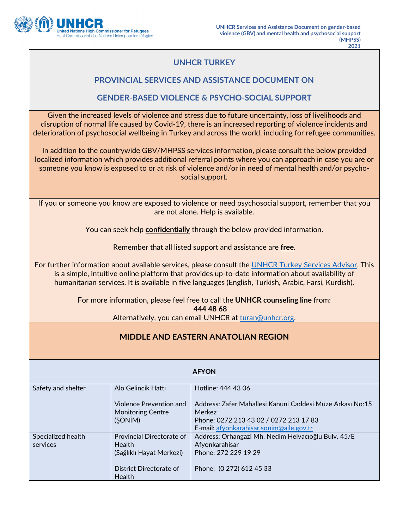

## **UNHCR TURKEY**

### **PROVINCIAL SERVICES AND ASSISTANCE DOCUMENT ON**

#### **GENDER-BASED VIOLENCE & PSYCHO-SOCIAL SUPPORT**

Given the increased levels of violence and stress due to future uncertainty, loss of livelihoods and disruption of normal life caused by Covid-19, there is an increased reporting of violence incidents and deterioration of psychosocial wellbeing in Turkey and across the world, including for refugee communities.

In addition to the countrywide GBV/MHPSS services information, please consult the below provided localized information which provides additional referral points where you can approach in case you are or someone you know is exposed to or at risk of violence and/or in need of mental health and/or psychosocial support.

If you or someone you know are exposed to violence or need psychosocial support, remember that you are not alone. Help is available.

You can seek help **confidentially** through the below provided information.

Remember that all listed support and assistance are **free**.

For further information about available services, please consult the UNHCR Turkey Services Advisor. This is a simple, intuitive online platform that provides up-to-date information about availability of humanitarian services. It is available in five languages (English, Turkish, Arabic, Farsi, Kurdish).

For more information, please feel free to call the **UNHCR counseling line** from:

**444 48 68**

Alternatively, you can email UNHCR at [turan@unhcr.org.](mailto:turan@unhcr.org)

# **MIDDLE AND EASTERN ANATOLIAN REGION**

| <b>AFYON</b>       |                                                     |                                                                     |
|--------------------|-----------------------------------------------------|---------------------------------------------------------------------|
| Safety and shelter | Alo Gelincik Hattı                                  | Hotline: 444 43 06                                                  |
|                    | Violence Prevention and<br><b>Monitoring Centre</b> | Address: Zafer Mahallesi Kanuni Caddesi Müze Arkası No:15<br>Merkez |
|                    | (ŞÖNİM)                                             | Phone: 0272 213 43 02 / 0272 213 17 83                              |
|                    |                                                     | E-mail: afyonkarahisar.sonim@aile.gov.tr                            |
| Specialized health | Provincial Directorate of                           | Address: Orhangazi Mh. Nedim Helvacioğlu Bulv. 45/E                 |
| services           | Health                                              | Afyonkarahisar                                                      |
|                    | (Sağlıklı Hayat Merkezi)                            | Phone: 272 229 19 29                                                |
|                    | District Directorate of<br>Health                   | Phone: (0 272) 612 45 33                                            |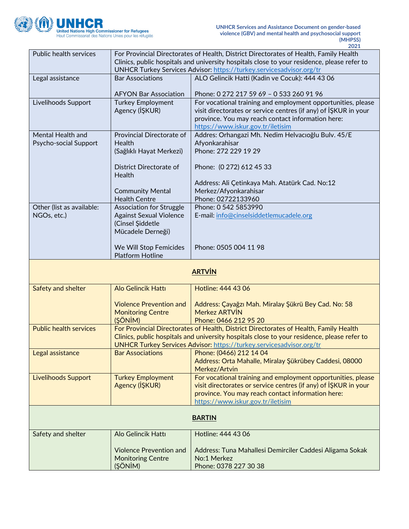

|                               |                                 | 2021                                                                                        |
|-------------------------------|---------------------------------|---------------------------------------------------------------------------------------------|
| Public health services        |                                 | For Provincial Directorates of Health, District Directorates of Health, Family Health       |
|                               |                                 | Clinics, public hospitals and university hospitals close to your residence, please refer to |
|                               |                                 | UNHCR Turkey Services Advisor: https://turkey.servicesadvisor.org/tr                        |
| Legal assistance              | <b>Bar Associations</b>         | ALO Gelincik Hatti (Kadin ve Cocuk): 444 43 06                                              |
|                               |                                 |                                                                                             |
|                               | <b>AFYON Bar Association</b>    | Phone: 0 272 217 59 69 - 0 533 260 91 96                                                    |
| Livelihoods Support           | <b>Turkey Employment</b>        | For vocational training and employment opportunities, please                                |
|                               |                                 |                                                                                             |
|                               | Agency (IŞKUR)                  | visit directorates or service centres (if any) of ISKUR in your                             |
|                               |                                 | province. You may reach contact information here:                                           |
|                               |                                 | https://www.iskur.gov.tr/iletisim                                                           |
| Mental Health and             | Provincial Directorate of       | Addres: Orhangazi Mh. Nedim Helvacıoğlu Bulv. 45/E                                          |
| Psycho-social Support         | Health                          | Afyonkarahisar                                                                              |
|                               | (Sağlıklı Hayat Merkezi)        | Phone: 272 229 19 29                                                                        |
|                               |                                 |                                                                                             |
|                               | District Directorate of         | Phone: (0 272) 612 45 33                                                                    |
|                               | Health                          |                                                                                             |
|                               |                                 | Address: Ali Çetinkaya Mah. Atatürk Cad. No:12                                              |
|                               | <b>Community Mental</b>         | Merkez/Afyonkarahisar                                                                       |
|                               | <b>Health Centre</b>            | Phone: 02722133960                                                                          |
| Other (list as available:     | <b>Association for Struggle</b> | Phone: 0 542 5853990                                                                        |
| NGOs, etc.)                   | <b>Against Sexual Violence</b>  | E-mail: info@cinselsiddetlemucadele.org                                                     |
|                               | (Cinsel Şiddetle                |                                                                                             |
|                               |                                 |                                                                                             |
|                               | Mücadele Derneği)               |                                                                                             |
|                               |                                 |                                                                                             |
|                               | We Will Stop Femicides          | Phone: 0505 004 11 98                                                                       |
|                               | <b>Platform Hotline</b>         |                                                                                             |
|                               |                                 |                                                                                             |
|                               |                                 |                                                                                             |
|                               |                                 | <b>ARTVİN</b>                                                                               |
|                               |                                 |                                                                                             |
| Safety and shelter            | <b>Alo Gelincik Hattı</b>       | Hotline: 444 43 06                                                                          |
|                               |                                 |                                                                                             |
|                               | <b>Violence Prevention and</b>  | Address: Çayağzı Mah. Miralay Şükrü Bey Cad. No: 58                                         |
|                               | <b>Monitoring Centre</b>        | Merkez ARTVIN                                                                               |
|                               | (ŞÖNİM)                         | Phone: 0466 212 95 20                                                                       |
| <b>Public health services</b> |                                 |                                                                                             |
|                               |                                 | For Provincial Directorates of Health, District Directorates of Health, Family Health       |
|                               |                                 | Clinics, public hospitals and university hospitals close to your residence, please refer to |
|                               |                                 | UNHCR Turkey Services Advisor: https://turkey.servicesadvisor.org/tr                        |
| Legal assistance              | <b>Bar Associations</b>         | Phone: (0466) 212 14 04                                                                     |
|                               |                                 | Address: Orta Mahalle, Miralay Şükrübey Caddesi, 08000                                      |
|                               |                                 | Merkez/Artvin                                                                               |
| <b>Livelihoods Support</b>    | <b>Turkey Employment</b>        | For vocational training and employment opportunities, please                                |
|                               | Agency (IŞKUR)                  | visit directorates or service centres (if any) of IŞKUR in your                             |
|                               |                                 | province. You may reach contact information here:                                           |
|                               |                                 | https://www.iskur.gov.tr/iletisim                                                           |
|                               |                                 |                                                                                             |
|                               |                                 | <b>BARTIN</b>                                                                               |
|                               |                                 |                                                                                             |
| Safety and shelter            | Alo Gelincik Hattı              | Hotline: 444 43 06                                                                          |
|                               |                                 |                                                                                             |
|                               | <b>Violence Prevention and</b>  | Address: Tuna Mahallesi Demirciler Caddesi Aligama Sokak                                    |
|                               | <b>Monitoring Centre</b>        | No:1 Merkez                                                                                 |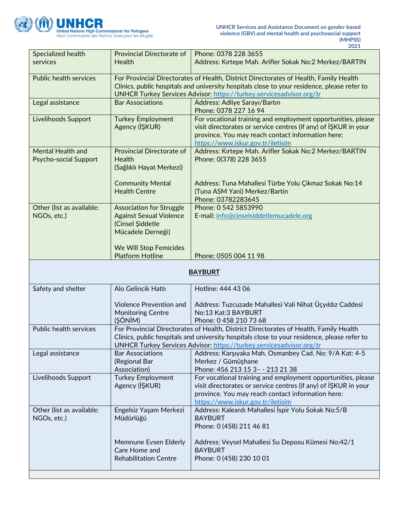

|                                            |                                                                                                                                             | 2021                                                                                                                                                                                                                                                         |
|--------------------------------------------|---------------------------------------------------------------------------------------------------------------------------------------------|--------------------------------------------------------------------------------------------------------------------------------------------------------------------------------------------------------------------------------------------------------------|
| Specialized health<br>services             | Provincial Directorate of<br>Health                                                                                                         | Phone: 0378 228 3655<br>Address: Kırtepe Mah. Arifler Sokak No:2 Merkez/BARTIN                                                                                                                                                                               |
| <b>Public health services</b>              |                                                                                                                                             | For Provincial Directorates of Health, District Directorates of Health, Family Health<br>Clinics, public hospitals and university hospitals close to your residence, please refer to<br>UNHCR Turkey Services Advisor: https://turkey.servicesadvisor.org/tr |
| Legal assistance                           | <b>Bar Associations</b>                                                                                                                     | Address: Adliye Sarayı/Bartın<br>Phone: 0378 227 16 94                                                                                                                                                                                                       |
| Livelihoods Support                        | <b>Turkey Employment</b><br>Agency (İŞKUR)                                                                                                  | For vocational training and employment opportunities, please<br>visit directorates or service centres (if any) of ISKUR in your<br>province. You may reach contact information here:<br>https://www.iskur.gov.tr/iletisim                                    |
| Mental Health and<br>Psycho-social Support | Provincial Directorate of<br>Health<br>(Sağlıklı Hayat Merkezi)                                                                             | Address: Kırtepe Mah. Arifler Sokak No:2 Merkez/BARTIN<br>Phone: 0(378) 228 3655                                                                                                                                                                             |
|                                            | <b>Community Mental</b><br><b>Health Centre</b>                                                                                             | Address: Tuna Mahallesi Türbe Yolu Çikmaz Sokak No:14<br>(Tuna ASM Yani) Merkez/Bartin<br>Phone: 03782283645                                                                                                                                                 |
| Other (list as available:<br>NGOs, etc.)   | <b>Association for Struggle</b><br><b>Against Sexual Violence</b><br>(Cinsel Şiddetle<br>Mücadele Derneği)<br><b>We Will Stop Femicides</b> | Phone: 0 542 5853990<br>E-mail: info@cinselsiddetlemucadele.org                                                                                                                                                                                              |
|                                            | <b>Platform Hotline</b>                                                                                                                     | Phone: 0505 004 11 98                                                                                                                                                                                                                                        |
| <b>BAYBURT</b>                             |                                                                                                                                             |                                                                                                                                                                                                                                                              |
| Safety and shelter                         | Alo Gelincik Hattı                                                                                                                          | Hotline: 444 43 06                                                                                                                                                                                                                                           |
|                                            | <b>Violence Prevention and</b><br><b>Monitoring Centre</b><br>(ŞÖNİM)                                                                       | Address: Tuzcuzade Mahallesi Vali Nihat Üçyıldız Caddesi<br>No:13 Kat:3 BAYBURT<br>Phone: 0 458 210 73 68                                                                                                                                                    |
| <b>Public health services</b>              |                                                                                                                                             | For Provincial Directorates of Health, District Directorates of Health, Family Health<br>Clinics, public hospitals and university hospitals close to your residence, please refer to<br>UNHCR Turkey Services Advisor: https://turkey.servicesadvisor.org/tr |
| Legal assistance                           | <b>Bar Associations</b><br>(Regional Bar<br>Association)                                                                                    | Address: Karşıyaka Mah. Osmanbey Cad. No: 9/A Kat: 4-5<br>Merkez / Gümüşhane<br>Phone: 456 213 15 3- - 213 21 38                                                                                                                                             |
| Livelihoods Support                        | <b>Turkey Employment</b><br>Agency (IŞKUR)                                                                                                  | For vocational training and employment opportunities, please<br>visit directorates or service centres (if any) of ISKUR in your<br>province. You may reach contact information here:<br>https://www.iskur.gov.tr/iletisim                                    |
| Other (list as available:<br>NGOs, etc.)   | Engelsiz Yaşam Merkezi<br>Müdürlüğü                                                                                                         | Address: Kaleardı Mahallesi İspir Yolu Sokak No:5/B<br><b>BAYBURT</b>                                                                                                                                                                                        |

|                                                                        | Phone: 0 (458) 211 46 81                                                                         |
|------------------------------------------------------------------------|--------------------------------------------------------------------------------------------------|
| Memnune Evsen Elderly<br>Care Home and<br><b>Rehabilitation Centre</b> | Address: Veysel Mahallesi Su Deposu Kümesi No:42/1<br><b>BAYBURT</b><br>Phone: 0 (458) 230 10 01 |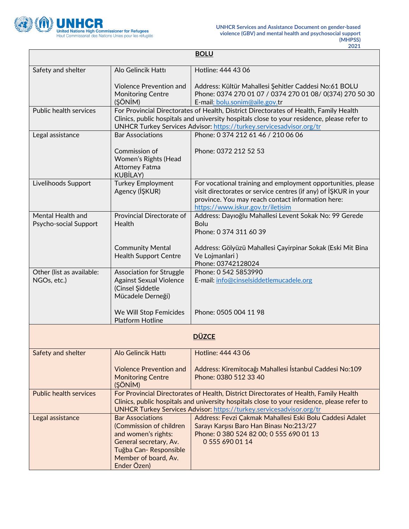

 $\mathbf{r}$ 

 $\overline{\phantom{a}}$ 

| <b>BOLU</b>                                |                                                                                                                                                                     |                                                                                                                                                                                                                                                                     |
|--------------------------------------------|---------------------------------------------------------------------------------------------------------------------------------------------------------------------|---------------------------------------------------------------------------------------------------------------------------------------------------------------------------------------------------------------------------------------------------------------------|
| Safety and shelter                         | Alo Gelincik Hattı                                                                                                                                                  | Hotline: 444 43 06                                                                                                                                                                                                                                                  |
|                                            | <b>Violence Prevention and</b><br><b>Monitoring Centre</b><br>(ŞÖNİM)                                                                                               | Address: Kültür Mahallesi Şehitler Caddesi No:61 BOLU<br>Phone: 0374 270 01 07 / 0374 270 01 08/ 0(374) 270 50 30<br>E-mail: bolu.sonim@aile.gov.tr                                                                                                                 |
| <b>Public health services</b>              |                                                                                                                                                                     | For Provincial Directorates of Health, District Directorates of Health, Family Health<br>Clinics, public hospitals and university hospitals close to your residence, please refer to<br>UNHCR Turkey Services Advisor: https://turkey.servicesadvisor.org/tr        |
| Legal assistance                           | <b>Bar Associations</b>                                                                                                                                             | Phone: 0 374 212 61 46 / 210 06 06                                                                                                                                                                                                                                  |
|                                            | Commission of<br>Women's Rights (Head<br><b>Attorney Fatma</b><br><b>KUBİLAY)</b>                                                                                   | Phone: 0372 212 52 53                                                                                                                                                                                                                                               |
| Livelihoods Support                        | <b>Turkey Employment</b><br>Agency (IŞKUR)                                                                                                                          | For vocational training and employment opportunities, please<br>visit directorates or service centres (if any) of ISKUR in your<br>province. You may reach contact information here:<br>https://www.iskur.gov.tr/iletisim                                           |
| Mental Health and<br>Psycho-social Support | Provincial Directorate of<br>Health                                                                                                                                 | Address: Dayıoğlu Mahallesi Levent Sokak No: 99 Gerede<br><b>Bolu</b><br>Phone: 0 374 311 60 39                                                                                                                                                                     |
|                                            | <b>Community Mental</b><br><b>Health Support Centre</b>                                                                                                             | Address: Gölyüzü Mahallesi Çayirpinar Sokak (Eski Mit Bina<br>Ve Lojmanlari)<br>Phone: 03742128024                                                                                                                                                                  |
| Other (list as available:<br>NGOs, etc.)   | <b>Association for Struggle</b><br><b>Against Sexual Violence</b><br>(Cinsel Şiddetle<br>Mücadele Derneği)                                                          | Phone: 0 542 5853990<br>E-mail: info@cinselsiddetlemucadele.org                                                                                                                                                                                                     |
|                                            | We Will Stop Femicides<br><b>Platform Hotline</b>                                                                                                                   | Phone: 0505 004 11 98                                                                                                                                                                                                                                               |
| <b>DÜZCE</b>                               |                                                                                                                                                                     |                                                                                                                                                                                                                                                                     |
| Safety and shelter                         | Alo Gelincik Hattı                                                                                                                                                  | Hotline: 444 43 06                                                                                                                                                                                                                                                  |
|                                            | <b>Violence Prevention and</b><br><b>Monitoring Centre</b><br>(ŞÖNİM)                                                                                               | Address: Kiremitocağı Mahallesi İstanbul Caddesi No:109<br>Phone: 0380 512 33 40                                                                                                                                                                                    |
| <b>Public health services</b>              |                                                                                                                                                                     | For Provincial Directorates of Health, District Directorates of Health, Family Health<br>Clinics, public hospitals and university hospitals close to your residence, please refer to<br><b>UNHCR Turkey Services Advisor: https://turkey.servicesadvisor.org/tr</b> |
| Legal assistance                           | <b>Bar Associations</b><br>(Commission of children<br>and women's rights:<br>General secretary, Av.<br>Tuğba Can-Responsible<br>Member of board, Av.<br>Ender Özen) | Address: Fevzi Çakmak Mahallesi Eski Bolu Caddesi Adalet<br>Sarayı Karşısı Baro Han Binası No:213/27<br>Phone: 0 380 524 82 00; 0 555 690 01 13<br>0 555 690 01 14                                                                                                  |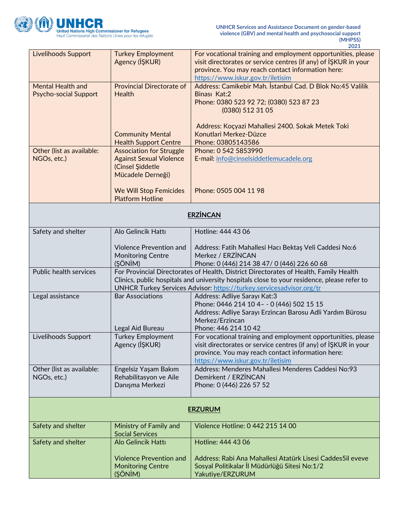

|                                                          |                                                                                                            | 2021                                                                                                                                                                                                                                                         |  |
|----------------------------------------------------------|------------------------------------------------------------------------------------------------------------|--------------------------------------------------------------------------------------------------------------------------------------------------------------------------------------------------------------------------------------------------------------|--|
| <b>Livelihoods Support</b>                               | <b>Turkey Employment</b><br>Agency (IŞKUR)                                                                 | For vocational training and employment opportunities, please<br>visit directorates or service centres (if any) of ISKUR in your<br>province. You may reach contact information here:<br>https://www.iskur.gov.tr/iletisim                                    |  |
| <b>Mental Health and</b><br><b>Psycho-social Support</b> | <b>Provincial Directorate of</b><br>Health                                                                 | Address: Camikebir Mah. İstanbul Cad. D Blok No:45 Valilik<br>Binası Kat:2<br>Phone: 0380 523 92 72; (0380) 523 87 23<br>(0380) 512 31 05                                                                                                                    |  |
|                                                          | <b>Community Mental</b><br><b>Health Support Centre</b>                                                    | Address: Koçyazi Mahallesi 2400. Sokak Metek Toki<br>Konutlari Merkez-Düzce<br>Phone: 03805143586                                                                                                                                                            |  |
| Other (list as available:<br>NGOs, etc.)                 | <b>Association for Struggle</b><br><b>Against Sexual Violence</b><br>(Cinsel Şiddetle<br>Mücadele Derneği) | Phone: 0 542 5853990<br>E-mail: info@cinselsiddetlemucadele.org                                                                                                                                                                                              |  |
|                                                          | <b>We Will Stop Femicides</b><br><b>Platform Hotline</b>                                                   | Phone: 0505 004 11 98                                                                                                                                                                                                                                        |  |
|                                                          |                                                                                                            | <b>ERZİNCAN</b>                                                                                                                                                                                                                                              |  |
| Safety and shelter                                       | Alo Gelincik Hattı                                                                                         | Hotline: 444 43 06                                                                                                                                                                                                                                           |  |
|                                                          | <b>Violence Prevention and</b><br><b>Monitoring Centre</b><br>(ŞÖNİM)                                      | Address: Fatih Mahallesi Hacı Bektaş Veli Caddesi No:6<br>Merkez / ERZİNCAN<br>Phone: 0 (446) 214 38 47/ 0 (446) 226 60 68                                                                                                                                   |  |
| Public health services                                   |                                                                                                            | For Provincial Directorates of Health, District Directorates of Health, Family Health<br>Clinics, public hospitals and university hospitals close to your residence, please refer to<br>UNHCR Turkey Services Advisor: https://turkey.servicesadvisor.org/tr |  |
| Legal assistance                                         | <b>Bar Associations</b><br>Legal Aid Bureau                                                                | Address: Adliye Sarayı Kat:3<br>Phone: 0446 214 10 4- - 0 (446) 502 15 15<br>Address: Adliye Sarayı Erzincan Barosu Adli Yardım Bürosu<br>Merkez/Erzincan<br>Phone: 446 214 10 42                                                                            |  |
| Livelihoods Support                                      | <b>Turkey Employment</b><br>Agency (İŞKUR)                                                                 | For vocational training and employment opportunities, please<br>visit directorates or service centres (if any) of IŞKUR in your<br>province. You may reach contact information here:<br>https://www.iskur.gov.tr/iletisim                                    |  |
| Other (list as available:<br>NGOs, etc.)                 | Engelsiz Yaşam Bakım<br>Rehabilitasyon ve Aile<br>Danışma Merkezi                                          | Address: Menderes Mahallesi Menderes Caddesi No:93<br>Demirkent / ERZİNCAN<br>Phone: 0 (446) 226 57 52                                                                                                                                                       |  |
|                                                          | <b>ERZURUM</b>                                                                                             |                                                                                                                                                                                                                                                              |  |
| Safety and shelter                                       | Ministry of Family and<br><b>Social Services</b>                                                           | Violence Hotline: 0 442 215 14 00                                                                                                                                                                                                                            |  |
| Safety and shelter                                       | Alo Gelincik Hattı                                                                                         | Hotline: 444 43 06                                                                                                                                                                                                                                           |  |
|                                                          | <b>Violence Prevention and</b><br><b>Monitoring Centre</b><br>(ŞÖNİM)                                      | Address: Rabi Ana Mahallesi Atatürk Lisesi Caddes5il eveve<br>Sosyal Politikalar İl Müdürlüğü Sitesi No:1/2<br>Yakutiye/ERZURUM                                                                                                                              |  |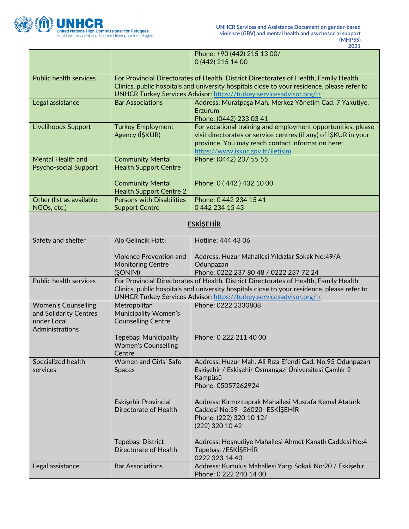

|                                                                                        |                                                                       | Phone: +90 (442) 215 13 00/<br>0 (442) 215 14 00                                                                                                                                                                                                             |  |
|----------------------------------------------------------------------------------------|-----------------------------------------------------------------------|--------------------------------------------------------------------------------------------------------------------------------------------------------------------------------------------------------------------------------------------------------------|--|
| <b>Public health services</b>                                                          |                                                                       | For Provincial Directorates of Health, District Directorates of Health, Family Health<br>Clinics, public hospitals and university hospitals close to your residence, please refer to<br>UNHCR Turkey Services Advisor: https://turkey.servicesadvisor.org/tr |  |
| Legal assistance                                                                       | <b>Bar Associations</b>                                               | Address: Muratpaşa Mah. Merkez Yönetim Cad. 7 Yakutiye,<br>Erzurum<br>Phone: (0442) 233 03 41                                                                                                                                                                |  |
| Livelihoods Support                                                                    | <b>Turkey Employment</b><br>Agency (IŞKUR)                            | For vocational training and employment opportunities, please<br>visit directorates or service centres (if any) of ISKUR in your<br>province. You may reach contact information here:<br>https://www.iskur.gov.tr/iletisim                                    |  |
| <b>Mental Health and</b><br><b>Psycho-social Support</b>                               | <b>Community Mental</b><br><b>Health Support Centre</b>               | Phone: (0442) 237 55 55                                                                                                                                                                                                                                      |  |
|                                                                                        | <b>Community Mental</b><br><b>Health Support Centre 2</b>             | Phone: 0 (442) 432 10 00                                                                                                                                                                                                                                     |  |
| Other (list as available:<br>NGOs, etc.)                                               | <b>Persons with Disabilities</b><br><b>Support Centre</b>             | Phone: 0 442 234 15 41<br>0 442 234 15 43                                                                                                                                                                                                                    |  |
|                                                                                        | <b>ESKİŞEHİR</b>                                                      |                                                                                                                                                                                                                                                              |  |
| Safety and shelter                                                                     | Alo Gelincik Hattı                                                    | Hotline: 444 43 06                                                                                                                                                                                                                                           |  |
|                                                                                        | <b>Violence Prevention and</b><br><b>Monitoring Centre</b><br>(ŞÖNİM) | Address: Huzur Mahallesi Yıldızlar Sokak No:49/A<br>Odunpazarı<br>Phone: 0222 237 80 48 / 0222 237 72 24                                                                                                                                                     |  |
| Public health services                                                                 |                                                                       | For Provincial Directorates of Health, District Directorates of Health, Family Health<br>Clinics, public hospitals and university hospitals close to your residence, please refer to<br>UNHCR Turkey Services Advisor: https://turkey.servicesadvisor.org/tr |  |
| <b>Women's Counselling</b><br>and Solidarity Centres<br>under Local<br>Administrations | Metropolitan<br>Municipality Women's<br><b>Counselling Centre</b>     | Phone: 0222 2330808                                                                                                                                                                                                                                          |  |
|                                                                                        | Tepebaşı Municipality<br><b>Women's Counselling</b><br>Centre         | Phone: 0 222 211 40 00                                                                                                                                                                                                                                       |  |
| Specialized health<br>services                                                         | Women and Girls' Safe<br><b>Spaces</b>                                | Address: Huzur Mah. Ali Rıza Efendi Cad. No.95 Odunpazarı<br>Eskişehir / Eskişehir Osmangazi Üniversitesi Çamlık-2<br>Kampüsü<br>Phone: 05057262924                                                                                                          |  |
|                                                                                        | Eskişehir Provincial<br>Directorate of Health                         | Address: Kırmızıtoprak Mahallesi Mustafa Kemal Atatürk<br>Caddesi No:59 26020- ESKİŞEHİR<br>Phone: (222) 320 10 12/<br>(222) 320 10 42                                                                                                                       |  |
|                                                                                        | Tepebaşı District<br>Directorate of Health                            | Address: Hoşnudiye Mahallesi Ahmet Kanatlı Caddesi No:4<br>Tepebaşı /ESKİŞEHİR<br>0222 323 14 40                                                                                                                                                             |  |
| Legal assistance                                                                       | <b>Bar Associations</b>                                               | Address: Kurtuluş Mahallesi Yargı Sokak No:20 / Eskişehir<br>Phone: 0 222 240 14 00                                                                                                                                                                          |  |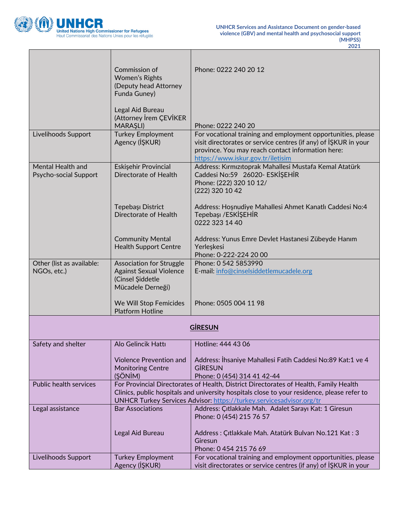

┓

Г

٦

|                                          | Commission of                                                     | Phone: 0222 240 20 12                                                                                                                                     |
|------------------------------------------|-------------------------------------------------------------------|-----------------------------------------------------------------------------------------------------------------------------------------------------------|
|                                          | Women's Rights<br>(Deputy head Attorney                           |                                                                                                                                                           |
|                                          | Funda Guney)                                                      |                                                                                                                                                           |
|                                          | Legal Aid Bureau<br>(Attorney İrem ÇEVİKER<br><b>MARAŞLI)</b>     | Phone: 0222 240 20                                                                                                                                        |
| Livelihoods Support                      | <b>Turkey Employment</b>                                          | For vocational training and employment opportunities, please                                                                                              |
|                                          | Agency (IŞKUR)                                                    | visit directorates or service centres (if any) of ISKUR in your<br>province. You may reach contact information here:<br>https://www.iskur.gov.tr/iletisim |
| Mental Health and                        | Eskişehir Provincial                                              | Address: Kırmızıtoprak Mahallesi Mustafa Kemal Atatürk                                                                                                    |
| Psycho-social Support                    | Directorate of Health                                             | Caddesi No:59 26020- ESKİŞEHİR                                                                                                                            |
|                                          |                                                                   | Phone: (222) 320 10 12/<br>(222) 320 10 42                                                                                                                |
|                                          | Tepebaşı District                                                 | Address: Hoşnudiye Mahallesi Ahmet Kanatlı Caddesi No:4                                                                                                   |
|                                          | Directorate of Health                                             | Tepebaşı / ESKİŞEHİR                                                                                                                                      |
|                                          |                                                                   | 0222 323 14 40                                                                                                                                            |
|                                          | <b>Community Mental</b>                                           | Address: Yunus Emre Devlet Hastanesi Zübeyde Hanım                                                                                                        |
|                                          | <b>Health Support Centre</b>                                      | Yerleşkesi                                                                                                                                                |
|                                          |                                                                   | Phone: 0-222-224 20 00<br>Phone: 0 542 5853990                                                                                                            |
| Other (list as available:<br>NGOs, etc.) | <b>Association for Struggle</b><br><b>Against Sexual Violence</b> | E-mail: info@cinselsiddetlemucadele.org                                                                                                                   |
|                                          | (Cinsel Şiddetle                                                  |                                                                                                                                                           |
|                                          | Mücadele Derneği)                                                 |                                                                                                                                                           |
|                                          | We Will Stop Femicides                                            | Phone: 0505 004 11 98                                                                                                                                     |
|                                          | <b>Platform Hotline</b>                                           |                                                                                                                                                           |
|                                          |                                                                   | <b>GİRESUN</b>                                                                                                                                            |
| Safety and shelter                       | Alo Gelincik Hattı                                                | Hotline: 444 43 06                                                                                                                                        |
|                                          |                                                                   |                                                                                                                                                           |
|                                          | <b>Violence Prevention and</b>                                    | Address: İhsaniye Mahallesi Fatih Caddesi No:89 Kat:1 ve 4                                                                                                |
|                                          | <b>Monitoring Centre</b><br>(ŞÖNİM)                               | <b>GİRESUN</b><br>Phone: 0 (454) 314 41 42-44                                                                                                             |
| Public health services                   |                                                                   | For Provincial Directorates of Health, District Directorates of Health, Family Health                                                                     |
|                                          |                                                                   | Clinics, public hospitals and university hospitals close to your residence, please refer to                                                               |
| Legal assistance                         | <b>Bar Associations</b>                                           | UNHCR Turkey Services Advisor: https://turkey.servicesadvisor.org/tr<br>Address: Çıtlakkale Mah. Adalet Sarayı Kat: 1 Giresun                             |
|                                          |                                                                   | Phone: 0 (454) 215 76 57                                                                                                                                  |
|                                          | Legal Aid Bureau                                                  | Address: Çıtlakkale Mah. Atatürk Bulvarı No.121 Kat: 3                                                                                                    |
|                                          |                                                                   | Giresun                                                                                                                                                   |
| Livelihoods Support                      | <b>Turkey Employment</b>                                          | Phone: 0 454 215 76 69<br>For vocational training and employment opportunities, please                                                                    |
|                                          | Agency (IŞKUR)                                                    | visit directorates or service centres (if any) of IŞKUR in your                                                                                           |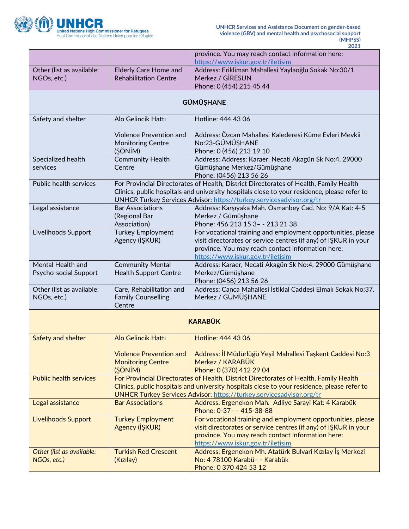

|                                |                                                         | province. You may reach contact information here:                                                                               |
|--------------------------------|---------------------------------------------------------|---------------------------------------------------------------------------------------------------------------------------------|
| Other (list as available:      | <b>Elderly Care Home and</b>                            | https://www.iskur.gov.tr/iletisim<br>Address: Erikliman Mahallesi Yaylaoğlu Sokak No:30/1                                       |
| NGOs, etc.)                    | <b>Rehabilitation Centre</b>                            | Merkez / GİRESUN                                                                                                                |
|                                |                                                         | Phone: 0 (454) 215 45 44                                                                                                        |
|                                |                                                         | <b>GÜMÜŞHANE</b>                                                                                                                |
| Safety and shelter             | Alo Gelincik Hattı                                      | Hotline: 444 43 06                                                                                                              |
|                                |                                                         |                                                                                                                                 |
|                                | <b>Violence Prevention and</b>                          | Address: Özcan Mahallesi Kalederesi Küme Evleri Mevkii                                                                          |
|                                | <b>Monitoring Centre</b>                                | No:23-GÜMÜŞHANE                                                                                                                 |
|                                | (ŞÖNİM)                                                 | Phone: 0 (456) 213 19 10                                                                                                        |
| Specialized health<br>services | <b>Community Health</b><br>Centre                       | Address: Address: Karaer, Necati Akagün Sk No:4, 29000<br>Gümüşhane Merkez/Gümüşhane                                            |
|                                |                                                         | Phone: (0456) 213 56 26                                                                                                         |
| <b>Public health services</b>  |                                                         | For Provincial Directorates of Health, District Directorates of Health, Family Health                                           |
|                                |                                                         | Clinics, public hospitals and university hospitals close to your residence, please refer to                                     |
|                                |                                                         | UNHCR Turkey Services Advisor: https://turkey.servicesadvisor.org/tr                                                            |
| Legal assistance               | <b>Bar Associations</b><br>(Regional Bar                | Address: Karşıyaka Mah. Osmanbey Cad. No: 9/A Kat: 4-5<br>Merkez / Gümüşhane                                                    |
|                                | Association)                                            | Phone: 456 213 15 3 - - 213 21 38                                                                                               |
| Livelihoods Support            | <b>Turkey Employment</b>                                | For vocational training and employment opportunities, please                                                                    |
|                                | Agency (IŞKUR)                                          | visit directorates or service centres (if any) of ISKUR in your                                                                 |
|                                |                                                         | province. You may reach contact information here:                                                                               |
| Mental Health and              |                                                         | https://www.iskur.gov.tr/iletisim                                                                                               |
| Psycho-social Support          | <b>Community Mental</b><br><b>Health Support Centre</b> | Address: Karaer, Necati Akagün Sk No:4, 29000 Gümüşhane<br>Merkez/Gümüşhane                                                     |
|                                |                                                         | Phone: (0456) 213 56 26                                                                                                         |
| Other (list as available:      | Care, Rehabilitation and                                | Address: Canca Mahallesi İstiklal Caddesi Elmalı Sokak No:37.                                                                   |
| NGOs, etc.)                    | <b>Family Counselling</b>                               | Merkez / GÜMÜŞHANE                                                                                                              |
|                                | Centre                                                  |                                                                                                                                 |
|                                |                                                         | <b>KARABÜK</b>                                                                                                                  |
| Safety and shelter             | <b>Alo Gelincik Hattı</b>                               | Hotline: 444 43 06                                                                                                              |
|                                |                                                         |                                                                                                                                 |
|                                | <b>Violence Prevention and</b>                          | Address: İl Müdürlüğü Yeşil Mahallesi Taşkent Caddesi No:3                                                                      |
|                                | <b>Monitoring Centre</b>                                | Merkez / KARABÜK                                                                                                                |
| <b>Public health services</b>  | (ŞÖNİM)                                                 | Phone: 0 (370) 412 29 04<br>For Provincial Directorates of Health, District Directorates of Health, Family Health               |
|                                |                                                         | Clinics, public hospitals and university hospitals close to your residence, please refer to                                     |
|                                |                                                         | UNHCR Turkey Services Advisor: https://turkey.servicesadvisor.org/tr                                                            |
| Legal assistance               | <b>Bar Associations</b>                                 | Address: Ergenekon Mah. Adliye Sarayi Kat: 4 Karabük                                                                            |
|                                |                                                         | Phone: 0-37- - 415-38-88                                                                                                        |
| <b>Livelihoods Support</b>     | <b>Turkey Employment</b><br>Agency (IŞKUR)              | For vocational training and employment opportunities, please<br>visit directorates or service centres (if any) of ISKUR in your |
|                                |                                                         | province. You may reach contact information here:                                                                               |
|                                |                                                         | https://www.iskur.gov.tr/iletisim                                                                                               |
| Other (list as available:      | <b>Turkish Red Crescent</b>                             | Address: Ergenekon Mh. Atatürk Bulvari Kızılay İş Merkezi                                                                       |
| NGOs, etc.)                    | (Kızılay)                                               | No: 4 78100 Karabü- - Karabük                                                                                                   |
|                                |                                                         | Phone: 0 370 424 53 12                                                                                                          |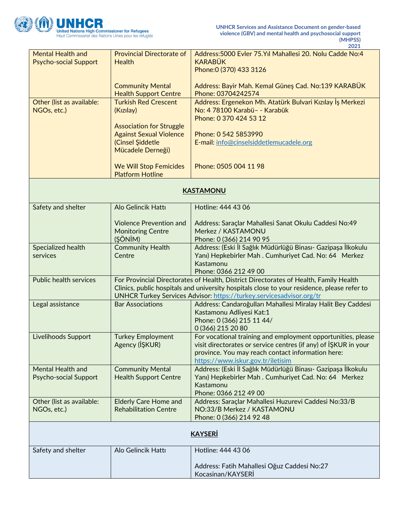

|                                                          |                                                                                                            | 2021                                                                                                                                                                                                                                                         |
|----------------------------------------------------------|------------------------------------------------------------------------------------------------------------|--------------------------------------------------------------------------------------------------------------------------------------------------------------------------------------------------------------------------------------------------------------|
| <b>Mental Health and</b><br><b>Psycho-social Support</b> | <b>Provincial Directorate of</b><br><b>Health</b>                                                          | Address: 5000 Evler 75. Yıl Mahallesi 20. Nolu Cadde No: 4<br><b>KARABÜK</b><br>Phone: 0 (370) 433 3126                                                                                                                                                      |
|                                                          | <b>Community Mental</b><br><b>Health Support Centre</b>                                                    | Address: Bayir Mah. Kemal Güneş Cad. No:139 KARABÜK<br>Phone: 03704242574                                                                                                                                                                                    |
| Other (list as available:<br>NGOs, etc.)                 | <b>Turkish Red Crescent</b><br>(Kızılay)                                                                   | Address: Ergenekon Mh. Atatürk Bulvari Kızılay İş Merkezi<br>No: 4 78100 Karabü- - Karabük<br>Phone: 0 370 424 53 12                                                                                                                                         |
|                                                          | <b>Association for Struggle</b><br><b>Against Sexual Violence</b><br>(Cinsel Şiddetle<br>Mücadele Derneği) | Phone: 0 542 5853990<br>E-mail: info@cinselsiddetlemucadele.org                                                                                                                                                                                              |
|                                                          | <b>We Will Stop Femicides</b><br><b>Platform Hotline</b>                                                   | Phone: 0505 004 11 98                                                                                                                                                                                                                                        |
|                                                          |                                                                                                            | <b>KASTAMONU</b>                                                                                                                                                                                                                                             |
| Safety and shelter                                       | Alo Gelincik Hattı                                                                                         | Hotline: 444 43 06                                                                                                                                                                                                                                           |
|                                                          | <b>Violence Prevention and</b><br><b>Monitoring Centre</b><br>(ŞÖNİM)                                      | Address: Saraçlar Mahallesi Sanat Okulu Caddesi No:49<br>Merkez / KASTAMONU<br>Phone: 0 (366) 214 90 95                                                                                                                                                      |
| Specialized health<br>services                           | <b>Community Health</b><br>Centre                                                                          | Address: (Eski İl Sağlık Müdürlüğü Binası- Gazipaşa İlkokulu<br>Yanı) Hepkebirler Mah. Cumhuriyet Cad. No: 64 Merkez<br>Kastamonu<br>Phone: 0366 212 49 00                                                                                                   |
| <b>Public health services</b>                            |                                                                                                            | For Provincial Directorates of Health, District Directorates of Health, Family Health<br>Clinics, public hospitals and university hospitals close to your residence, please refer to<br>UNHCR Turkey Services Advisor: https://turkey.servicesadvisor.org/tr |
| Legal assistance                                         | <b>Bar Associations</b>                                                                                    | Address: Candaroğulları Mahallesi Miralay Halit Bey Caddesi<br>Kastamonu Adliyesi Kat:1<br>Phone: 0 (366) 215 11 44/<br>0 (366) 215 20 80                                                                                                                    |
| Livelihoods Support                                      | <b>Turkey Employment</b><br>Agency (İŞKUR)                                                                 | For vocational training and employment opportunities, please<br>visit directorates or service centres (if any) of IŞKUR in your<br>province. You may reach contact information here:<br>https://www.iskur.gov.tr/iletisim                                    |
| <b>Mental Health and</b><br>Psycho-social Support        | <b>Community Mental</b><br><b>Health Support Centre</b>                                                    | Address: (Eski İl Sağlık Müdürlüğü Binası- Gazipaşa İlkokulu<br>Yanı) Hepkebirler Mah. Cumhuriyet Cad. No: 64 Merkez<br>Kastamonu<br>Phone: 0366 212 49 00                                                                                                   |
| Other (list as available:<br>NGOs, etc.)                 | <b>Elderly Care Home and</b><br><b>Rehabilitation Centre</b>                                               | Address: Saraçlar Mahallesi Huzurevi Caddesi No:33/B<br>NO:33/B Merkez / KASTAMONU<br>Phone: 0 (366) 214 92 48                                                                                                                                               |
|                                                          |                                                                                                            | <b>KAYSERİ</b>                                                                                                                                                                                                                                               |
| Safety and shelter                                       | Alo Gelincik Hattı                                                                                         | Hotline: 444 43 06                                                                                                                                                                                                                                           |
|                                                          |                                                                                                            | Address: Fatih Mahallesi Oğuz Caddesi No:27<br>Kocasinan/KAYSERİ                                                                                                                                                                                             |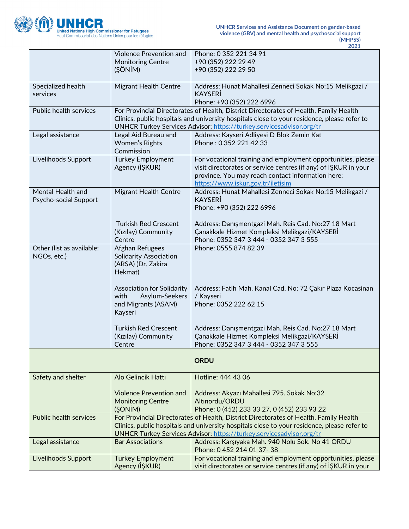

|                                            | Violence Prevention and                             | Phone: 0 352 221 34 91                                                                                                          |
|--------------------------------------------|-----------------------------------------------------|---------------------------------------------------------------------------------------------------------------------------------|
|                                            | <b>Monitoring Centre</b>                            | +90 (352) 222 29 49                                                                                                             |
|                                            | (ŞÖNİM)                                             | +90 (352) 222 29 50                                                                                                             |
| Specialized health                         | Migrant Health Centre                               | Address: Hunat Mahallesi Zenneci Sokak No:15 Melikgazi /                                                                        |
| services                                   |                                                     | <b>KAYSERI</b>                                                                                                                  |
|                                            |                                                     | Phone: +90 (352) 222 6996                                                                                                       |
| Public health services                     |                                                     | For Provincial Directorates of Health, District Directorates of Health, Family Health                                           |
|                                            |                                                     | Clinics, public hospitals and university hospitals close to your residence, please refer to                                     |
|                                            |                                                     | UNHCR Turkey Services Advisor: https://turkey.servicesadvisor.org/tr                                                            |
| Legal assistance                           | Legal Aid Bureau and                                | Address: Kayseri Adliyesi D Blok Zemin Kat<br>Phone: 0.352 221 42 33                                                            |
|                                            | <b>Women's Rights</b><br>Commission                 |                                                                                                                                 |
| Livelihoods Support                        | <b>Turkey Employment</b>                            | For vocational training and employment opportunities, please                                                                    |
|                                            | Agency (IŞKUR)                                      | visit directorates or service centres (if any) of ISKUR in your                                                                 |
|                                            |                                                     | province. You may reach contact information here:                                                                               |
|                                            |                                                     | https://www.iskur.gov.tr/iletisim                                                                                               |
| Mental Health and<br>Psycho-social Support | <b>Migrant Health Centre</b>                        | Address: Hunat Mahallesi Zenneci Sokak No:15 Melikgazi /<br><b>KAYSERI</b>                                                      |
|                                            |                                                     | Phone: +90 (352) 222 6996                                                                                                       |
|                                            |                                                     |                                                                                                                                 |
|                                            | <b>Turkish Red Crescent</b>                         | Address: Danışmentgazi Mah. Reis Cad. No:27 18 Mart                                                                             |
|                                            | (Kızılay) Community                                 | Çanakkale Hizmet Kompleksi Melikgazi/KAYSERİ                                                                                    |
|                                            | Centre                                              | Phone: 0352 347 3 444 - 0352 347 3 555                                                                                          |
| Other (list as available:                  | Afghan Refugees                                     | Phone: 0555 874 82 39                                                                                                           |
| NGOs, etc.)                                | <b>Solidarity Association</b><br>(ARSA) (Dr. Zakira |                                                                                                                                 |
|                                            | Hekmat)                                             |                                                                                                                                 |
|                                            |                                                     |                                                                                                                                 |
|                                            | <b>Association for Solidarity</b>                   | Address: Fatih Mah. Kanal Cad. No: 72 Çakır Plaza Kocasinan                                                                     |
|                                            | with<br>Asylum-Seekers                              | / Kayseri                                                                                                                       |
|                                            | and Migrants (ASAM)                                 | Phone: 0352 222 62 15                                                                                                           |
|                                            | Kayseri                                             |                                                                                                                                 |
|                                            | <b>Turkish Red Crescent</b>                         | Address: Danışmentgazi Mah. Reis Cad. No:27 18 Mart                                                                             |
|                                            | (Kızılay) Community                                 | Çanakkale Hizmet Kompleksi Melikgazi/KAYSERİ                                                                                    |
|                                            | Centre                                              | Phone: 0352 347 3 444 - 0352 347 3 555                                                                                          |
|                                            |                                                     |                                                                                                                                 |
|                                            |                                                     | <b>ORDU</b>                                                                                                                     |
| Safety and shelter                         | Alo Gelincik Hattı                                  | Hotline: 444 43 06                                                                                                              |
|                                            | <b>Violence Prevention and</b>                      | Address: Akyazı Mahallesi 795. Sokak No:32                                                                                      |
|                                            | <b>Monitoring Centre</b>                            | Altınordu/ORDU                                                                                                                  |
|                                            | (ŞÖNİM)                                             | Phone: 0 (452) 233 33 27, 0 (452) 233 93 22                                                                                     |
| <b>Public health services</b>              |                                                     | For Provincial Directorates of Health, District Directorates of Health, Family Health                                           |
|                                            |                                                     | Clinics, public hospitals and university hospitals close to your residence, please refer to                                     |
|                                            |                                                     | UNHCR Turkey Services Advisor: https://turkey.servicesadvisor.org/tr                                                            |
| Legal assistance                           | <b>Bar Associations</b>                             | Address: Karşıyaka Mah. 940 Nolu Sok. No 41 ORDU                                                                                |
|                                            |                                                     | Phone: 0 452 214 01 37-38                                                                                                       |
| Livelihoods Support                        | <b>Turkey Employment</b><br>Agency (IŞKUR)          | For vocational training and employment opportunities, please<br>visit directorates or service centres (if any) of ISKUR in your |
|                                            |                                                     |                                                                                                                                 |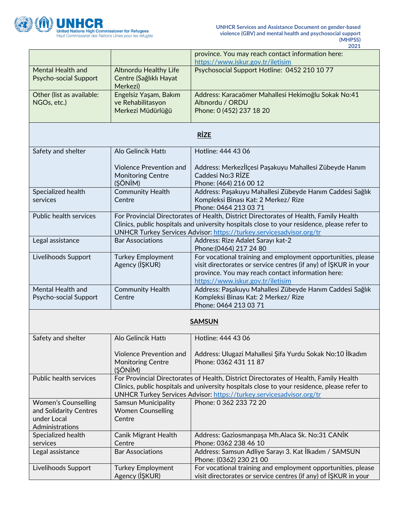

|                                                   |                                                                       | 2021                                                                                                                                                                                                                      |
|---------------------------------------------------|-----------------------------------------------------------------------|---------------------------------------------------------------------------------------------------------------------------------------------------------------------------------------------------------------------------|
|                                                   |                                                                       | province. You may reach contact information here:                                                                                                                                                                         |
|                                                   |                                                                       | https://www.iskur.gov.tr/iletisim                                                                                                                                                                                         |
| <b>Mental Health and</b><br>Psycho-social Support | <b>Altinordu Healthy Life</b><br>Centre (Sağlıklı Hayat<br>Merkezi)   | Psychosocial Support Hotline: 0452 210 10 77                                                                                                                                                                              |
| Other (list as available:                         | Engelsiz Yaşam, Bakım                                                 | Address: Karacaömer Mahallesi Hekimoğlu Sokak No:41                                                                                                                                                                       |
| NGOs, etc.)                                       | ve Rehabilitasyon                                                     | Altınordu / ORDU                                                                                                                                                                                                          |
|                                                   | Merkezi Müdürlüğü                                                     | Phone: 0 (452) 237 18 20                                                                                                                                                                                                  |
|                                                   |                                                                       | <b>RİZE</b>                                                                                                                                                                                                               |
| Safety and shelter                                | Alo Gelincik Hattı                                                    | Hotline: 444 43 06                                                                                                                                                                                                        |
|                                                   | <b>Violence Prevention and</b><br><b>Monitoring Centre</b><br>(ŞÖNİM) | Address: Merkezİlçesi Paşakuyu Mahallesi Zübeyde Hanım<br>Caddesi No:3 RİZE<br>Phone: (464) 216 00 12                                                                                                                     |
| Specialized health                                | <b>Community Health</b>                                               | Address: Paşakuyu Mahallesi Zübeyde Hanım Caddesi Sağlık                                                                                                                                                                  |
| services                                          | Centre                                                                | Kompleksi Binası Kat: 2 Merkez/ Rize<br>Phone: 0464 213 03 71                                                                                                                                                             |
| <b>Public health services</b>                     |                                                                       | For Provincial Directorates of Health, District Directorates of Health, Family Health                                                                                                                                     |
|                                                   |                                                                       | Clinics, public hospitals and university hospitals close to your residence, please refer to                                                                                                                               |
|                                                   |                                                                       | UNHCR Turkey Services Advisor: https://turkey.servicesadvisor.org/tr                                                                                                                                                      |
| Legal assistance                                  | <b>Bar Associations</b>                                               | Address: Rize Adalet Sarayı kat-2<br>Phone: (0464) 217 24 80                                                                                                                                                              |
| Livelihoods Support                               | <b>Turkey Employment</b><br>Agency (IŞKUR)                            | For vocational training and employment opportunities, please<br>visit directorates or service centres (if any) of ISKUR in your<br>province. You may reach contact information here:<br>https://www.iskur.gov.tr/iletisim |
| Mental Health and                                 | <b>Community Health</b>                                               | Address: Paşakuyu Mahallesi Zübeyde Hanım Caddesi Sağlık                                                                                                                                                                  |
| Psycho-social Support                             | Centre                                                                | Kompleksi Binası Kat: 2 Merkez/ Rize                                                                                                                                                                                      |
|                                                   |                                                                       | Phone: 0464 213 03 71                                                                                                                                                                                                     |
|                                                   |                                                                       | <b>SAMSUN</b>                                                                                                                                                                                                             |
| Safety and shelter                                | Alo Gelincik Hattı                                                    | Hotline: 444 43 06                                                                                                                                                                                                        |
|                                                   | <b>Violence Prevention and</b><br><b>Monitoring Centre</b><br>(ŞÖNİM) | Address: Ulugazi Mahallesi Şifa Yurdu Sokak No:10 İlkadım<br>Phone: 0362 431 11 87                                                                                                                                        |
| <b>Public health services</b>                     |                                                                       | For Provincial Directorates of Health, District Directorates of Health, Family Health                                                                                                                                     |
|                                                   |                                                                       | Clinics, public hospitals and university hospitals close to your residence, please refer to                                                                                                                               |
|                                                   |                                                                       | UNHCR Turkey Services Advisor: https://turkey.servicesadvisor.org/tr                                                                                                                                                      |
| <b>Women's Counselling</b>                        | <b>Samsun Municipality</b>                                            | Phone: 0 362 233 72 20                                                                                                                                                                                                    |
| and Solidarity Centres                            | <b>Women Counselling</b>                                              |                                                                                                                                                                                                                           |
| under Local                                       | Centre                                                                |                                                                                                                                                                                                                           |
| Administrations                                   |                                                                       |                                                                                                                                                                                                                           |
| Specialized health<br>services                    | Canik Migrant Health<br>Centre                                        | Address: Gaziosmanpaşa Mh.Alaca Sk. No:31 CANİK<br>Phone: 0362 238 46 10                                                                                                                                                  |
| Legal assistance                                  | <b>Bar Associations</b>                                               | Address: Samsun Adliye Sarayı 3. Kat İlkadım / SAMSUN<br>Phone: (0362) 230 21 00                                                                                                                                          |
| Livelihoods Support                               | <b>Turkey Employment</b>                                              | For vocational training and employment opportunities, please                                                                                                                                                              |
|                                                   | Agency (IŞKUR)                                                        | visit directorates or service centres (if any) of IŞKUR in your                                                                                                                                                           |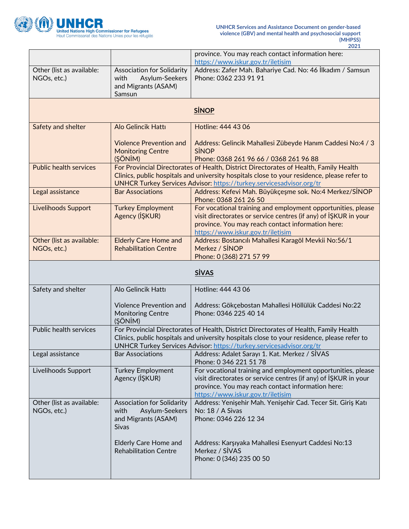

|                                          |                                                                                                    | province. You may reach contact information here:                                                                                                                                                                                                                   |
|------------------------------------------|----------------------------------------------------------------------------------------------------|---------------------------------------------------------------------------------------------------------------------------------------------------------------------------------------------------------------------------------------------------------------------|
|                                          |                                                                                                    | https://www.iskur.gov.tr/iletisim                                                                                                                                                                                                                                   |
| Other (list as available:<br>NGOs, etc.) | Association for Solidarity<br>Asylum-Seekers<br>with<br>and Migrants (ASAM)                        | Address: Zafer Mah. Bahariye Cad. No: 46 İlkadım / Samsun<br>Phone: 0362 233 91 91                                                                                                                                                                                  |
|                                          | Samsun                                                                                             |                                                                                                                                                                                                                                                                     |
|                                          |                                                                                                    | <b>SİNOP</b>                                                                                                                                                                                                                                                        |
| Safety and shelter                       | Alo Gelincik Hattı                                                                                 | Hotline: 444 43 06                                                                                                                                                                                                                                                  |
|                                          | <b>Violence Prevention and</b><br><b>Monitoring Centre</b><br>(ŞÖNİM)                              | Address: Gelincik Mahallesi Zübeyde Hanım Caddesi No:4 / 3<br><b>SINOP</b><br>Phone: 0368 261 96 66 / 0368 261 96 88                                                                                                                                                |
| <b>Public health services</b>            |                                                                                                    | For Provincial Directorates of Health, District Directorates of Health, Family Health<br>Clinics, public hospitals and university hospitals close to your residence, please refer to<br><b>UNHCR Turkey Services Advisor: https://turkey.servicesadvisor.org/tr</b> |
| Legal assistance                         | <b>Bar Associations</b>                                                                            | Address: Kefevi Mah. Büyükçeşme sok. No:4 Merkez/SİNOP<br>Phone: 0368 261 26 50                                                                                                                                                                                     |
| <b>Livelihoods Support</b>               | <b>Turkey Employment</b><br>Agency (IŞKUR)                                                         | For vocational training and employment opportunities, please<br>visit directorates or service centres (if any) of ISKUR in your<br>province. You may reach contact information here:<br>https://www.iskur.gov.tr/iletisim                                           |
| Other (list as available:<br>NGOs, etc.) | <b>Elderly Care Home and</b><br><b>Rehabilitation Centre</b>                                       | Address: Bostancılı Mahallesi Karagöl Mevkii No:56/1<br>Merkez / SINOP<br>Phone: 0 (368) 271 57 99                                                                                                                                                                  |
|                                          |                                                                                                    | <b>SİVAS</b>                                                                                                                                                                                                                                                        |
| Safety and shelter                       | Alo Gelincik Hattı                                                                                 | Hotline: 444 43 06                                                                                                                                                                                                                                                  |
|                                          |                                                                                                    |                                                                                                                                                                                                                                                                     |
|                                          | <b>Violence Prevention and</b><br><b>Monitoring Centre</b><br>(ŞÖNİM)                              | Address: Gökçebostan Mahallesi Höllülük Caddesi No:22<br>Phone: 0346 225 40 14                                                                                                                                                                                      |
| <b>Public health services</b>            |                                                                                                    | For Provincial Directorates of Health, District Directorates of Health, Family Health<br>Clinics, public hospitals and university hospitals close to your residence, please refer to<br>UNHCR Turkey Services Advisor: https://turkey.servicesadvisor.org/tr        |
| Legal assistance                         | <b>Bar Associations</b>                                                                            | Address: Adalet Sarayı 1. Kat. Merkez / SİVAS<br>Phone: 0 346 221 51 78                                                                                                                                                                                             |
| Livelihoods Support                      | <b>Turkey Employment</b><br>Agency (IŞKUR)                                                         | For vocational training and employment opportunities, please<br>visit directorates or service centres (if any) of IŞKUR in your<br>province. You may reach contact information here:<br>https://www.iskur.gov.tr/iletisim                                           |
| Other (list as available:<br>NGOs, etc.) | <b>Association for Solidarity</b><br>with<br>Asylum-Seekers<br>and Migrants (ASAM)<br><b>Sivas</b> | Address: Yenişehir Mah. Yenişehir Cad. Tecer Sit. Giriş Katı<br>No: 18 / A Sivas<br>Phone: 0346 226 12 34                                                                                                                                                           |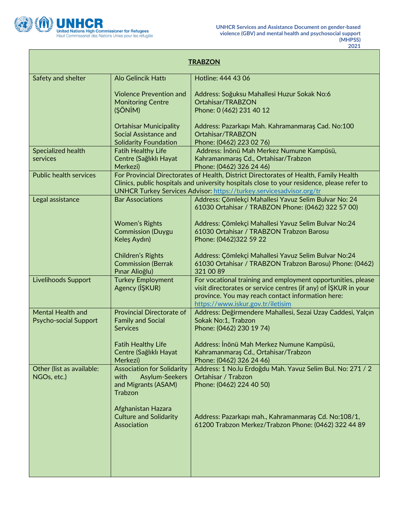

L

| <b>TRABZON</b>                                           |                                                                                               |                                                                                                                                                                                                                                                              |  |
|----------------------------------------------------------|-----------------------------------------------------------------------------------------------|--------------------------------------------------------------------------------------------------------------------------------------------------------------------------------------------------------------------------------------------------------------|--|
| Safety and shelter                                       | Alo Gelincik Hattı                                                                            | Hotline: 444 43 06                                                                                                                                                                                                                                           |  |
|                                                          | <b>Violence Prevention and</b><br><b>Monitoring Centre</b><br>(ŞÖNİM)                         | Address: Soğuksu Mahallesi Huzur Sokak No:6<br>Ortahisar/TRABZON<br>Phone: 0 (462) 231 40 12                                                                                                                                                                 |  |
|                                                          | <b>Ortahisar Municipality</b><br>Social Assistance and<br><b>Solidarity Foundation</b>        | Address: Pazarkapı Mah. Kahramanmaraş Cad. No:100<br>Ortahisar/TRABZON<br>Phone: (0462) 223 02 76)                                                                                                                                                           |  |
| Specialized health<br>services                           | <b>Fatih Healthy Life</b><br>Centre (Sağlıklı Hayat<br>Merkezi)                               | Address: İnönü Mah Merkez Numune Kampüsü,<br>Kahramanmaraş Cd., Ortahisar/Trabzon<br>Phone: (0462) 326 24 46)                                                                                                                                                |  |
| <b>Public health services</b>                            |                                                                                               | For Provincial Directorates of Health, District Directorates of Health, Family Health<br>Clinics, public hospitals and university hospitals close to your residence, please refer to<br>UNHCR Turkey Services Advisor: https://turkey.servicesadvisor.org/tr |  |
| Legal assistance                                         | <b>Bar Associations</b>                                                                       | Address: Çömlekçi Mahallesi Yavuz Selim Bulvar No: 24<br>61030 Ortahisar / TRABZON Phone: (0462) 322 57 00)                                                                                                                                                  |  |
|                                                          | <b>Women's Rights</b><br><b>Commission (Duygu</b><br>Keleş Aydın)                             | Address: Çömlekçi Mahallesi Yavuz Selim Bulvar No:24<br>61030 Ortahisar / TRABZON Trabzon Barosu<br>Phone: (0462)322 59 22                                                                                                                                   |  |
|                                                          | Children's Rights<br><b>Commission (Berrak</b><br>Pınar Alioğlu)                              | Address: Çömlekçi Mahallesi Yavuz Selim Bulvar No:24<br>61030 Ortahisar / TRABZON Trabzon Barosu) Phone: (0462)<br>321 00 89                                                                                                                                 |  |
| Livelihoods Support                                      | <b>Turkey Employment</b><br>Agency (IŞKUR)                                                    | For vocational training and employment opportunities, please<br>visit directorates or service centres (if any) of ISKUR in your<br>province. You may reach contact information here:<br>https://www.iskur.gov.tr/iletisim                                    |  |
| <b>Mental Health and</b><br><b>Psycho-social Support</b> | <b>Provincial Directorate of</b><br><b>Family and Social</b><br><b>Services</b>               | Address: Değirmendere Mahallesi, Sezai Uzay Caddesi, Yalçın<br>Sokak No:1, Trabzon<br>Phone: (0462) 230 19 74)                                                                                                                                               |  |
|                                                          | <b>Fatih Healthy Life</b><br>Centre (Sağlıklı Hayat<br>Merkezi)                               | Address: İnönü Mah Merkez Numune Kampüsü,<br>Kahramanmaraş Cd., Ortahisar/Trabzon<br>Phone: (0462) 326 24 46)                                                                                                                                                |  |
| Other (list as available:<br>NGOs, etc.)                 | <b>Association for Solidarity</b><br>with<br>Asylum-Seekers<br>and Migrants (ASAM)<br>Trabzon | Address: 1 No.lu Erdoğdu Mah. Yavuz Selim Bul. No: 271 / 2<br>Ortahisar / Trabzon<br>Phone: (0462) 224 40 50)                                                                                                                                                |  |
|                                                          | Afghanistan Hazara<br><b>Culture and Solidarity</b><br>Association                            | Address: Pazarkapı mah., Kahramanmaraş Cd. No:108/1,<br>61200 Trabzon Merkez/Trabzon Phone: (0462) 322 44 89                                                                                                                                                 |  |
|                                                          |                                                                                               |                                                                                                                                                                                                                                                              |  |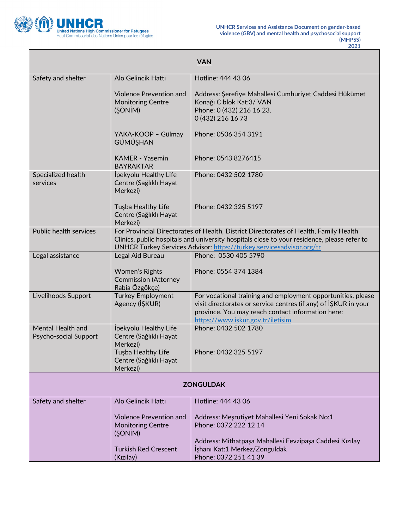

Г

| <b>VAN</b>                                 |                                                                       |                                                                                                                                                                                                                                                              |  |
|--------------------------------------------|-----------------------------------------------------------------------|--------------------------------------------------------------------------------------------------------------------------------------------------------------------------------------------------------------------------------------------------------------|--|
| Safety and shelter                         | Alo Gelincik Hattı                                                    | Hotline: 444 43 06                                                                                                                                                                                                                                           |  |
|                                            | <b>Violence Prevention and</b><br><b>Monitoring Centre</b><br>(ŞÖNİM) | Address: Şerefiye Mahallesi Cumhuriyet Caddesi Hükümet<br>Konağı C blok Kat: 3/ VAN<br>Phone: 0 (432) 216 16 23.<br>0 (432) 216 16 73                                                                                                                        |  |
|                                            | YAKA-KOOP - Gülmay<br><b>GÜMÜSHAN</b>                                 | Phone: 0506 354 3191                                                                                                                                                                                                                                         |  |
|                                            | <b>KAMER</b> - Yasemin<br><b>BAYRAKTAR</b>                            | Phone: 0543 8276415                                                                                                                                                                                                                                          |  |
| Specialized health<br>services             | İpekyolu Healthy Life<br>Centre (Sağlıklı Hayat<br>Merkezi)           | Phone: 0432 502 1780                                                                                                                                                                                                                                         |  |
|                                            | Tuşba Healthy Life<br>Centre (Sağlıklı Hayat<br>Merkezi)              | Phone: 0432 325 5197                                                                                                                                                                                                                                         |  |
| Public health services                     |                                                                       | For Provincial Directorates of Health, District Directorates of Health, Family Health<br>Clinics, public hospitals and university hospitals close to your residence, please refer to<br>UNHCR Turkey Services Advisor: https://turkey.servicesadvisor.org/tr |  |
| Legal assistance                           | Legal Aid Bureau                                                      | Phone: 0530 405 5790                                                                                                                                                                                                                                         |  |
|                                            | Women's Rights<br><b>Commission (Attorney</b><br>Rabia Özgökçe)       | Phone: 0554 374 1384                                                                                                                                                                                                                                         |  |
| Livelihoods Support                        | <b>Turkey Employment</b><br>Agency (IŞKUR)                            | For vocational training and employment opportunities, please<br>visit directorates or service centres (if any) of ISKUR in your<br>province. You may reach contact information here:<br>https://www.iskur.gov.tr/iletisim                                    |  |
| Mental Health and<br>Psycho-social Support | İpekyolu Healthy Life<br>Centre (Sağlıklı Hayat<br>Merkezi)           | Phone: 0432 502 1780                                                                                                                                                                                                                                         |  |
|                                            | Tusba Healthy Life<br>Centre (Sağlıklı Hayat<br>Merkezi)              | Phone: 0432 325 5197                                                                                                                                                                                                                                         |  |
| <b>ZONGULDAK</b>                           |                                                                       |                                                                                                                                                                                                                                                              |  |
| Safety and shelter                         | Alo Gelincik Hattı                                                    | Hotline: 444 43 06                                                                                                                                                                                                                                           |  |
|                                            | <b>Violence Prevention and</b><br><b>Monitoring Centre</b><br>(ŞÖNİM) | Address: Meşrutiyet Mahallesi Yeni Sokak No:1<br>Phone: 0372 222 12 14                                                                                                                                                                                       |  |
|                                            | <b>Turkish Red Crescent</b><br>(Kızılay)                              | Address: Mithatpaşa Mahallesi Fevzipaşa Caddesi Kızılay<br>İşhanı Kat:1 Merkez/Zonguldak<br>Phone: 0372 251 41 39                                                                                                                                            |  |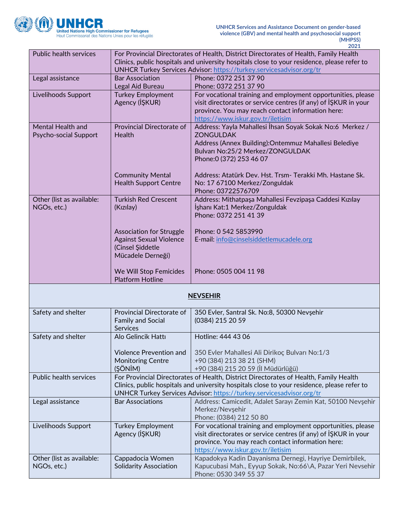

|                               |                                                                                             | 2021                                                                                                                        |
|-------------------------------|---------------------------------------------------------------------------------------------|-----------------------------------------------------------------------------------------------------------------------------|
| <b>Public health services</b> |                                                                                             | For Provincial Directorates of Health, District Directorates of Health, Family Health                                       |
|                               | Clinics, public hospitals and university hospitals close to your residence, please refer to |                                                                                                                             |
|                               |                                                                                             | UNHCR Turkey Services Advisor: https://turkey.servicesadvisor.org/tr                                                        |
| Legal assistance              | <b>Bar Association</b>                                                                      | Phone: 0372 251 37 90                                                                                                       |
|                               | Legal Aid Bureau                                                                            | Phone: 0372 251 37 90                                                                                                       |
| Livelihoods Support           | <b>Turkey Employment</b>                                                                    | For vocational training and employment opportunities, please                                                                |
|                               | Agency (IŞKUR)                                                                              | visit directorates or service centres (if any) of İŞKUR in your                                                             |
|                               |                                                                                             | province. You may reach contact information here:                                                                           |
|                               |                                                                                             | https://www.iskur.gov.tr/iletisim                                                                                           |
| Mental Health and             | Provincial Directorate of                                                                   | Address: Yayla Mahallesi İhsan Soyak Sokak No:6 Merkez /                                                                    |
| Psycho-social Support         | <b>Health</b>                                                                               | <b>ZONGULDAK</b>                                                                                                            |
|                               |                                                                                             | Address (Annex Building): Ontemmuz Mahallesi Belediye                                                                       |
|                               |                                                                                             | Bulvarı No:25/2 Merkez/ZONGULDAK                                                                                            |
|                               |                                                                                             | Phone: 0 (372) 253 46 07                                                                                                    |
|                               | <b>Community Mental</b>                                                                     | Address: Atatürk Dev. Hst. Trsm- Terakki Mh. Hastane Sk.                                                                    |
|                               | <b>Health Support Centre</b>                                                                | No: 17 67100 Merkez/Zonguldak                                                                                               |
|                               |                                                                                             | Phone: 03722576709                                                                                                          |
| Other (list as available:     | <b>Turkish Red Crescent</b>                                                                 | Address: Mithatpaşa Mahallesi Fevzipaşa Caddesi Kızılay                                                                     |
| NGOs, etc.)                   | (Kızılay)                                                                                   | İşhanı Kat:1 Merkez/Zonguldak                                                                                               |
|                               |                                                                                             | Phone: 0372 251 41 39                                                                                                       |
|                               |                                                                                             |                                                                                                                             |
|                               | <b>Association for Struggle</b>                                                             | Phone: 0 542 5853990                                                                                                        |
|                               | <b>Against Sexual Violence</b>                                                              | E-mail: info@cinselsiddetlemucadele.org                                                                                     |
|                               | (Cinsel Şiddetle                                                                            |                                                                                                                             |
|                               | Mücadele Derneği)                                                                           |                                                                                                                             |
|                               |                                                                                             |                                                                                                                             |
|                               |                                                                                             |                                                                                                                             |
|                               | We Will Stop Femicides                                                                      | Phone: 0505 004 11 98                                                                                                       |
|                               | <b>Platform Hotline</b>                                                                     |                                                                                                                             |
|                               |                                                                                             | <b>NEVSEHIR</b>                                                                                                             |
|                               |                                                                                             |                                                                                                                             |
| Safety and shelter            | Provincial Directorate of                                                                   | 350 Evler, Santral Sk. No:8, 50300 Nevşehir                                                                                 |
|                               | <b>Family and Social</b>                                                                    | (0384) 215 20 59                                                                                                            |
|                               | <b>Services</b>                                                                             |                                                                                                                             |
| Safety and shelter            | Alo Gelincik Hattı                                                                          | Hotline: 444 43 06                                                                                                          |
|                               |                                                                                             |                                                                                                                             |
|                               | Violence Prevention and                                                                     | 350 Evler Mahallesi Ali Dirikoç Bulvarı No:1/3                                                                              |
|                               | <b>Monitoring Centre</b>                                                                    | +90 (384) 213 38 21 (SHM)                                                                                                   |
| Public health services        | (ŞÖNİM)                                                                                     | +90 (384) 215 20 59 (İl Müdürlüğü)<br>For Provincial Directorates of Health, District Directorates of Health, Family Health |
|                               |                                                                                             | Clinics, public hospitals and university hospitals close to your residence, please refer to                                 |
|                               |                                                                                             | UNHCR Turkey Services Advisor: https://turkey.servicesadvisor.org/tr                                                        |
| Legal assistance              | <b>Bar Associations</b>                                                                     | Address: Camicedit, Adalet Sarayı Zemin Kat, 50100 Nevşehir                                                                 |
|                               |                                                                                             | Merkez/Nevşehir                                                                                                             |
|                               |                                                                                             | Phone: (0384) 212 50 80                                                                                                     |
| Livelihoods Support           | <b>Turkey Employment</b>                                                                    | For vocational training and employment opportunities, please                                                                |
|                               | Agency (IŞKUR)                                                                              | visit directorates or service centres (if any) of ISKUR in your                                                             |
|                               |                                                                                             | province. You may reach contact information here:                                                                           |
|                               |                                                                                             | https://www.iskur.gov.tr/iletisim                                                                                           |
| Other (list as available:     | Cappadocia Women                                                                            | Kapadokya Kadin Dayanisma Dernegi, Hayriye Demirbilek,                                                                      |
| NGOs, etc.)                   | <b>Solidarity Association</b>                                                               | Kapucubasi Mah., Eyyup Sokak, No:66\A, Pazar Yeri Nevsehir<br>Phone: 0530 349 55 37                                         |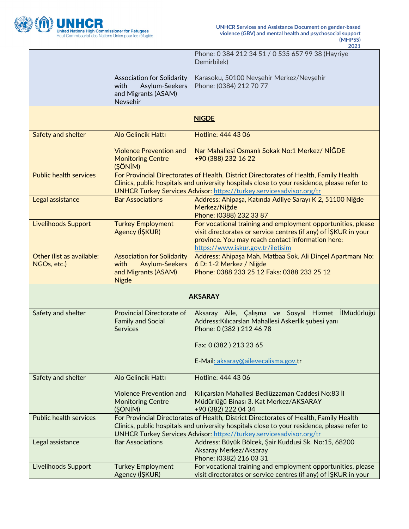

|                                          |                                                                                                           | Phone: 0 384 212 34 51 / 0 535 657 99 38 (Hayriye<br>Demirbilek)                                                                                                                                                                                                    |
|------------------------------------------|-----------------------------------------------------------------------------------------------------------|---------------------------------------------------------------------------------------------------------------------------------------------------------------------------------------------------------------------------------------------------------------------|
|                                          | <b>Association for Solidarity</b><br>with<br>Asylum-Seekers<br>and Migrants (ASAM)<br>Nevsehir            | Karasoku, 50100 Nevşehir Merkez/Nevşehir<br>Phone: (0384) 212 70 77                                                                                                                                                                                                 |
|                                          |                                                                                                           | <b>NIGDE</b>                                                                                                                                                                                                                                                        |
| Safety and shelter                       | Alo Gelincik Hattı                                                                                        | Hotline: 444 43 06                                                                                                                                                                                                                                                  |
|                                          | <b>Violence Prevention and</b><br><b>Monitoring Centre</b><br>(ŞÖNİM)                                     | Nar Mahallesi Osmanlı Sokak No:1 Merkez/ NİĞDE<br>+90 (388) 232 16 22                                                                                                                                                                                               |
| <b>Public health services</b>            |                                                                                                           | For Provincial Directorates of Health, District Directorates of Health, Family Health<br>Clinics, public hospitals and university hospitals close to your residence, please refer to<br><b>UNHCR Turkey Services Advisor: https://turkey.servicesadvisor.org/tr</b> |
| Legal assistance                         | <b>Bar Associations</b>                                                                                   | Address: Ahipaşa, Katında Adliye Sarayı K 2, 51100 Niğde<br>Merkez/Niğde<br>Phone: (0388) 232 33 87                                                                                                                                                                 |
| Livelihoods Support                      | <b>Turkey Employment</b><br>Agency (IŞKUR)                                                                | For vocational training and employment opportunities, please<br>visit directorates or service centres (if any) of ISKUR in your<br>province. You may reach contact information here:<br>https://www.iskur.gov.tr/iletisim                                           |
| Other (list as available:<br>NGOs, etc.) | <b>Association for Solidarity</b><br><b>Asylum-Seekers</b><br>with<br>and Migrants (ASAM)<br><b>Nigde</b> | Address: Ahipaşa Mah. Matbaa Sok. Ali Dinçel Apartmanı No:<br>6 D: 1-2 Merkez / Niğde<br>Phone: 0388 233 25 12 Faks: 0388 233 25 12                                                                                                                                 |
| <b>AKSARAY</b>                           |                                                                                                           |                                                                                                                                                                                                                                                                     |
| Safety and shelter                       | <b>Provincial Directorate of</b><br><b>Family and Social</b><br><b>Services</b>                           | Aksaray Aile, Çalışma ve Sosyal Hizmet İlMüdürlüğü<br>Address: Kılıcarslan Mahallesi Askerlik şubesi yanı<br>Phone: 0 (382) 212 46 78<br>Fax: 0 (382) 213 23 65<br>E-Mail: aksaray@ailevecalisma.gov.tr                                                             |
| Safety and shelter                       | Alo Gelincik Hattı                                                                                        | Hotline: 444 43 06                                                                                                                                                                                                                                                  |
|                                          | <b>Violence Prevention and</b><br><b>Monitoring Centre</b><br>(ŞÖNİM)                                     | Kılıçarslan Mahallesi Bediüzzaman Caddesi No:83 İl<br>Müdürlüğü Binası 3. Kat Merkez/AKSARAY<br>+90 (382) 222 04 34                                                                                                                                                 |
| <b>Public health services</b>            |                                                                                                           | For Provincial Directorates of Health, District Directorates of Health, Family Health<br>Clinics, public hospitals and university hospitals close to your residence, please refer to<br>UNHCR Turkey Services Advisor: https://turkey.servicesadvisor.org/tr        |
| Legal assistance                         | <b>Bar Associations</b>                                                                                   | Address: Büyük Bölcek, Şair Kuddusi Sk. No:15, 68200<br>Aksaray Merkez/Aksaray<br>Phone: (0382) 216 03 31                                                                                                                                                           |
| Livelihoods Support                      | <b>Turkey Employment</b><br>Agency (IŞKUR)                                                                | For vocational training and employment opportunities, please<br>visit directorates or service centres (if any) of ISKUR in your                                                                                                                                     |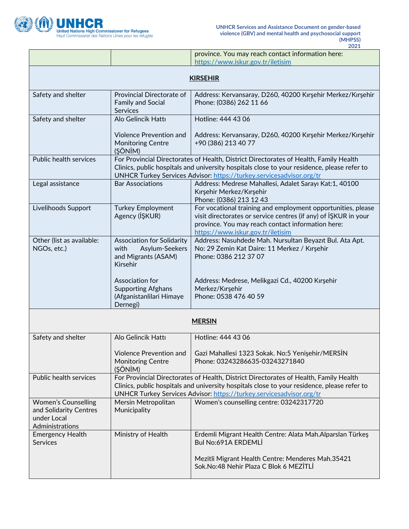

 $\mathbf{r}$ 

h

|                                                                                        |                                                                                                                                                                                                                                                              | province. You may reach contact information here:<br>https://www.iskur.gov.tr/iletisim                                                                                                                                                                       |  |
|----------------------------------------------------------------------------------------|--------------------------------------------------------------------------------------------------------------------------------------------------------------------------------------------------------------------------------------------------------------|--------------------------------------------------------------------------------------------------------------------------------------------------------------------------------------------------------------------------------------------------------------|--|
| <b>KIRSEHIR</b>                                                                        |                                                                                                                                                                                                                                                              |                                                                                                                                                                                                                                                              |  |
| Safety and shelter                                                                     | Provincial Directorate of<br><b>Family and Social</b><br>Services                                                                                                                                                                                            | Address: Kervansaray, D260, 40200 Kırşehir Merkez/Kırşehir<br>Phone: (0386) 262 11 66                                                                                                                                                                        |  |
| Safety and shelter                                                                     | Alo Gelincik Hattı                                                                                                                                                                                                                                           | Hotline: 444 43 06                                                                                                                                                                                                                                           |  |
|                                                                                        | <b>Violence Prevention and</b><br><b>Monitoring Centre</b><br>(ŞÖNİM)                                                                                                                                                                                        | Address: Kervansaray, D260, 40200 Kırşehir Merkez/Kırşehir<br>+90 (386) 213 40 77                                                                                                                                                                            |  |
| Public health services                                                                 |                                                                                                                                                                                                                                                              | For Provincial Directorates of Health, District Directorates of Health, Family Health<br>Clinics, public hospitals and university hospitals close to your residence, please refer to<br>UNHCR Turkey Services Advisor: https://turkey.servicesadvisor.org/tr |  |
| Legal assistance                                                                       | <b>Bar Associations</b>                                                                                                                                                                                                                                      | Address: Medrese Mahallesi, Adalet Sarayı Kat:1, 40100<br>Kırşehir Merkez/Kırşehir<br>Phone: (0386) 213 12 43                                                                                                                                                |  |
| Livelihoods Support                                                                    | <b>Turkey Employment</b><br>Agency (IŞKUR)                                                                                                                                                                                                                   | For vocational training and employment opportunities, please<br>visit directorates or service centres (if any) of ISKUR in your<br>province. You may reach contact information here:<br>https://www.iskur.gov.tr/iletisim                                    |  |
| Other (list as available:<br>NGOs, etc.)                                               | <b>Association for Solidarity</b><br>Asylum-Seekers<br>with<br>and Migrants (ASAM)<br>Kirsehir                                                                                                                                                               | Address: Nasuhdede Mah. Nursultan Beyazit Bul. Ata Apt.<br>No: 29 Zemin Kat Daire: 11 Merkez / Kırşehir<br>Phone: 0386 212 37 07                                                                                                                             |  |
|                                                                                        | Association for<br><b>Supporting Afghans</b><br>(Afganistanlilari Himaye<br>Dernegi)                                                                                                                                                                         | Address: Medrese, Melikgazi Cd., 40200 Kırşehir<br>Merkez/Kırşehir<br>Phone: 0538 476 40 59                                                                                                                                                                  |  |
|                                                                                        |                                                                                                                                                                                                                                                              | <b>MERSIN</b>                                                                                                                                                                                                                                                |  |
| Safety and shelter                                                                     | Alo Gelincik Hattı                                                                                                                                                                                                                                           | Hotline: 444 43 06                                                                                                                                                                                                                                           |  |
|                                                                                        | Violence Prevention and<br><b>Monitoring Centre</b><br>(ŞÖNİM)                                                                                                                                                                                               | Gazi Mahallesi 1323 Sokak. No:5 Yenişehir/MERSİN<br>Phone: 03243286635-03243271840                                                                                                                                                                           |  |
| Public health services                                                                 | For Provincial Directorates of Health, District Directorates of Health, Family Health<br>Clinics, public hospitals and university hospitals close to your residence, please refer to<br>UNHCR Turkey Services Advisor: https://turkey.servicesadvisor.org/tr |                                                                                                                                                                                                                                                              |  |
| <b>Women's Counselling</b><br>and Solidarity Centres<br>under Local<br>Administrations | Mersin Metropolitan<br>Municipality                                                                                                                                                                                                                          | Women's counselling centre: 03242317720                                                                                                                                                                                                                      |  |
| <b>Emergency Health</b><br><b>Services</b>                                             | Ministry of Health                                                                                                                                                                                                                                           | Erdemli Migrant Health Centre: Alata Mah.Alparslan Türkeş<br>Bul No:691A ERDEMLİ                                                                                                                                                                             |  |
|                                                                                        |                                                                                                                                                                                                                                                              | Mezitli Migrant Health Centre: Menderes Mah.35421<br>Sok.No:48 Nehir Plaza C Blok 6 MEZİTLİ                                                                                                                                                                  |  |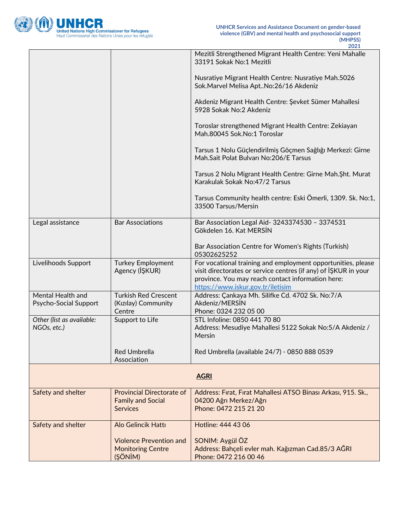

|                                            |                                                                                 | Mezitli Strengthened Migrant Health Centre: Yeni Mahalle<br>33191 Sokak No:1 Mezitli                                                                                                                                      |
|--------------------------------------------|---------------------------------------------------------------------------------|---------------------------------------------------------------------------------------------------------------------------------------------------------------------------------------------------------------------------|
|                                            |                                                                                 | Nusratiye Migrant Health Centre: Nusratiye Mah.5026<br>Sok. Marvel Melisa Apt No: 26/16 Akdeniz                                                                                                                           |
|                                            |                                                                                 | Akdeniz Migrant Health Centre: Şevket Sümer Mahallesi<br>5928 Sokak No:2 Akdeniz                                                                                                                                          |
|                                            |                                                                                 | Toroslar strengthened Migrant Health Centre: Zekiayan<br>Mah.80045 Sok.No:1 Toroslar                                                                                                                                      |
|                                            |                                                                                 | Tarsus 1 Nolu Güçlendirilmiş Göçmen Sağlığı Merkezi: Girne<br>Mah.Sait Polat Bulvarı No:206/E Tarsus                                                                                                                      |
|                                            |                                                                                 | Tarsus 2 Nolu Migrant Health Centre: Girne Mah. Sht. Murat<br>Karakulak Sokak No: 47/2 Tarsus                                                                                                                             |
|                                            |                                                                                 | Tarsus Community health centre: Eski Ömerli, 1309. Sk. No:1,<br>33500 Tarsus/Mersin                                                                                                                                       |
| Legal assistance                           | <b>Bar Associations</b>                                                         | Bar Association Legal Aid- 3243374530 - 3374531<br>Gökdelen 16. Kat MERSİN                                                                                                                                                |
|                                            |                                                                                 | Bar Association Centre for Women's Rights (Turkish)<br>05302625252                                                                                                                                                        |
| Livelihoods Support                        | <b>Turkey Employment</b><br>Agency (IŞKUR)                                      | For vocational training and employment opportunities, please<br>visit directorates or service centres (if any) of IŞKUR in your<br>province. You may reach contact information here:<br>https://www.iskur.gov.tr/iletisim |
| Mental Health and<br>Psycho-Social Support | <b>Turkish Red Crescent</b><br>(Kızılay) Community<br>Centre                    | Address: Çankaya Mh. Silifke Cd. 4702 Sk. No:7/A<br>Akdeniz/MERSIN<br>Phone: 0324 232 05 00                                                                                                                               |
| Other (list as available:<br>NGOs, etc.)   | Support to Life                                                                 | STL Infoline: 0850 441 70 80<br>Address: Mesudiye Mahallesi 5122 Sokak No:5/A Akdeniz /<br>Mersin                                                                                                                         |
|                                            | Red Umbrella<br>Association                                                     | Red Umbrella (available 24/7) - 0850 888 0539                                                                                                                                                                             |
|                                            |                                                                                 | <b>AGRI</b>                                                                                                                                                                                                               |
| Safety and shelter                         | <b>Provincial Directorate of</b><br><b>Family and Social</b><br><b>Services</b> | Address: Fırat, Fırat Mahallesi ATSO Binası Arkası, 915. Sk.,<br>04200 Ağrı Merkez/Ağrı<br>Phone: 0472 215 21 20                                                                                                          |
| Safety and shelter                         | Alo Gelincik Hattı                                                              | Hotline: 444 43 06                                                                                                                                                                                                        |
|                                            | <b>Violence Prevention and</b><br><b>Monitoring Centre</b><br>(ŞÖNİM)           | SONIM: Aygül ÖZ<br>Address: Bahçeli evler mah. Kağızman Cad.85/3 AĞRI<br>Phone: 0472 216 00 46                                                                                                                            |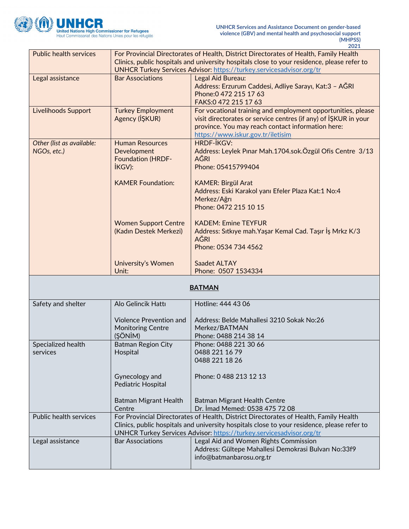

|                               |                                                                                             | 2021                                                                                        |
|-------------------------------|---------------------------------------------------------------------------------------------|---------------------------------------------------------------------------------------------|
| <b>Public health services</b> | For Provincial Directorates of Health, District Directorates of Health, Family Health       |                                                                                             |
|                               | Clinics, public hospitals and university hospitals close to your residence, please refer to |                                                                                             |
|                               | UNHCR Turkey Services Advisor: https://turkey.servicesadvisor.org/tr                        |                                                                                             |
| Legal assistance              | <b>Bar Associations</b>                                                                     | Legal Aid Bureau:                                                                           |
|                               |                                                                                             | Address: Erzurum Caddesi, Adliye Sarayı, Kat:3 - AĞRI                                       |
|                               |                                                                                             |                                                                                             |
|                               |                                                                                             | Phone: 0 472 215 17 63                                                                      |
|                               |                                                                                             | FAKS:0 472 215 17 63                                                                        |
| <b>Livelihoods Support</b>    | <b>Turkey Employment</b>                                                                    | For vocational training and employment opportunities, please                                |
|                               | Agency (IŞKUR)                                                                              | visit directorates or service centres (if any) of IŞKUR in your                             |
|                               |                                                                                             | province. You may reach contact information here:                                           |
|                               |                                                                                             | https://www.iskur.gov.tr/iletisim                                                           |
| Other (list as available:     | <b>Human Resources</b>                                                                      | <b>HRDF-İKGV:</b>                                                                           |
| NGOs, etc.)                   | Development                                                                                 | Address: Leylek Pinar Mah.1704.sok.Özgül Ofis Centre 3/13                                   |
|                               | <b>Foundation (HRDF-</b>                                                                    | <b>AĞRI</b>                                                                                 |
|                               |                                                                                             | Phone: 05415799404                                                                          |
|                               | <b>İKGV):</b>                                                                               |                                                                                             |
|                               | <b>KAMER Foundation:</b>                                                                    | <b>KAMER: Birgül Arat</b>                                                                   |
|                               |                                                                                             | Address: Eski Karakol yanı Efeler Plaza Kat:1 No:4                                          |
|                               |                                                                                             |                                                                                             |
|                               |                                                                                             | Merkez/Ağrı                                                                                 |
|                               |                                                                                             | Phone: 0472 215 10 15                                                                       |
|                               |                                                                                             | <b>KADEM: Emine TEYFUR</b>                                                                  |
|                               | <b>Women Support Centre</b>                                                                 |                                                                                             |
|                               | (Kadın Destek Merkezi)                                                                      | Address: Sitkiye mah. Yaşar Kemal Cad. Taşır İş Mrkz K/3                                    |
|                               |                                                                                             | <b>AĞRI</b>                                                                                 |
|                               |                                                                                             | Phone: 0534 734 4562                                                                        |
|                               |                                                                                             |                                                                                             |
|                               | <b>University's Women</b>                                                                   | Saadet ALTAY                                                                                |
|                               | Unit:                                                                                       | Phone: 0507 1534334                                                                         |
|                               |                                                                                             | <b>BATMAN</b>                                                                               |
|                               |                                                                                             |                                                                                             |
| Safety and shelter            | Alo Gelincik Hattı                                                                          | Hotline: 444 43 06                                                                          |
|                               |                                                                                             |                                                                                             |
|                               | <b>Violence Prevention and</b>                                                              | Address: Belde Mahallesi 3210 Sokak No:26                                                   |
|                               | <b>Monitoring Centre</b>                                                                    | Merkez/BATMAN                                                                               |
|                               | (SÖNİM)                                                                                     | Phone: 0488 214 38 14                                                                       |
| Specialized health            | <b>Batman Region City</b>                                                                   | Phone: 0488 221 30 66                                                                       |
| services                      | Hospital                                                                                    | 0488 221 16 79                                                                              |
|                               |                                                                                             | 0488 221 18 26                                                                              |
|                               |                                                                                             |                                                                                             |
|                               | Gynecology and                                                                              | Phone: 0 488 213 12 13                                                                      |
|                               | Pediatric Hospital                                                                          |                                                                                             |
|                               |                                                                                             |                                                                                             |
|                               | <b>Batman Migrant Health</b>                                                                | Batman Migrant Health Centre                                                                |
|                               | Centre                                                                                      | Dr. Imad Memed: 0538 475 72 08                                                              |
| Public health services        |                                                                                             | For Provincial Directorates of Health, District Directorates of Health, Family Health       |
|                               |                                                                                             |                                                                                             |
|                               |                                                                                             | Clinics, public hospitals and university hospitals close to your residence, please refer to |
|                               |                                                                                             | UNHCR Turkey Services Advisor: https://turkey.servicesadvisor.org/tr                        |
| Legal assistance              | <b>Bar Associations</b>                                                                     | Legal Aid and Women Rights Commission                                                       |
|                               |                                                                                             |                                                                                             |
|                               |                                                                                             | Address: Gültepe Mahallesi Demokrasi Bulvarı No:33f9                                        |
|                               |                                                                                             | info@batmanbarosu.org.tr                                                                    |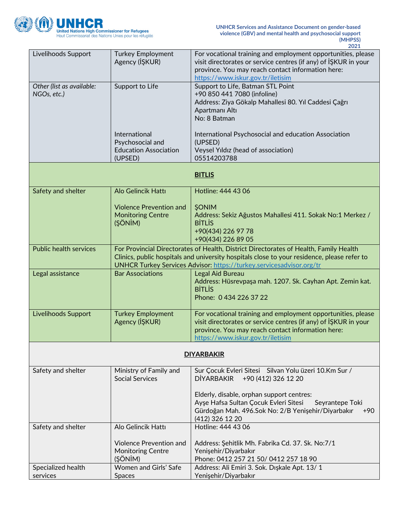

| Livelihoods Support<br>For vocational training and employment opportunities, please<br><b>Turkey Employment</b><br>Agency (IŞKUR)<br>visit directorates or service centres (if any) of IŞKUR in your<br>province. You may reach contact information here:<br>https://www.iskur.gov.tr/iletisim<br>Other (list as available:<br>Support to Life, Batman STL Point<br>Support to Life<br>+90 850 441 7080 (infoline)<br>NGOs, etc.)<br>Address: Ziya Gökalp Mahallesi 80. Yıl Caddesi Çağrı<br>Apartmanı Altı<br>No: 8 Batman<br>International<br>International Psychosocial and education Association<br>Psychosocial and<br>(UPSED)<br><b>Education Association</b><br>Veysel Yıldız (head of association)<br>05514203788<br>(UPSED)<br><b>BITLIS</b><br>Alo Gelincik Hattı<br>Hotline: 444 43 06<br>Safety and shelter<br><b>Violence Prevention and</b><br><b>ŞONIM</b><br><b>Monitoring Centre</b><br>Address: Sekiz Ağustos Mahallesi 411. Sokak No:1 Merkez /<br><b>BİTLİS</b><br>(ŞÖNİM)<br>+90(434) 226 97 78<br>+90(434) 226 89 05<br><b>Public health services</b><br>For Provincial Directorates of Health, District Directorates of Health, Family Health<br>Clinics, public hospitals and university hospitals close to your residence, please refer to<br>UNHCR Turkey Services Advisor: https://turkey.servicesadvisor.org/tr<br>Legal assistance<br><b>Bar Associations</b><br>Legal Aid Bureau<br>Address: Hüsrevpaşa mah. 1207. Sk. Cayhan Apt. Zemin kat.<br><b>BITLIS</b><br>Phone: 0 434 226 37 22<br><b>Livelihoods Support</b><br><b>Turkey Employment</b><br>For vocational training and employment opportunities, please<br>Agency (IŞKUR)<br>visit directorates or service centres (if any) of IŞKUR in your<br>province. You may reach contact information here:<br>https://www.iskur.gov.tr/iletisim<br><b>DIYARBAKIR</b><br>Ministry of Family and<br>Sur Çocuk Evleri Sitesi Silvan Yolu üzeri 10.Km Sur /<br>Safety and shelter<br><b>Social Services</b><br><b>DİYARBAKIR</b><br>+90 (412) 326 12 20<br>Elderly, disable, orphan support centres:<br>Ayşe Hafsa Sultan Çocuk Evleri Sitesi<br>Seyrantepe Toki<br>Gürdoğan Mah. 496.Sok No: 2/B Yenişehir/Diyarbakır<br>+90<br>(412) 326 12 20<br>Alo Gelincik Hattı<br>Hotline: 444 43 06<br>Safety and shelter<br><b>Violence Prevention and</b><br>Address: Şehitlik Mh. Fabrika Cd. 37. Sk. No:7/1<br><b>Monitoring Centre</b><br>Yenişehir/Diyarbakır<br>(ŞÖNİM)<br>Phone: 0412 257 21 50/ 0412 257 18 90<br>Women and Girls' Safe<br>Specialized health<br>Address: Ali Emiri 3. Sok. Dışkale Apt. 13/1 |  | 2021 |  |
|---------------------------------------------------------------------------------------------------------------------------------------------------------------------------------------------------------------------------------------------------------------------------------------------------------------------------------------------------------------------------------------------------------------------------------------------------------------------------------------------------------------------------------------------------------------------------------------------------------------------------------------------------------------------------------------------------------------------------------------------------------------------------------------------------------------------------------------------------------------------------------------------------------------------------------------------------------------------------------------------------------------------------------------------------------------------------------------------------------------------------------------------------------------------------------------------------------------------------------------------------------------------------------------------------------------------------------------------------------------------------------------------------------------------------------------------------------------------------------------------------------------------------------------------------------------------------------------------------------------------------------------------------------------------------------------------------------------------------------------------------------------------------------------------------------------------------------------------------------------------------------------------------------------------------------------------------------------------------------------------------------------------------------------------------------------------------------------------------------------------------------------------------------------------------------------------------------------------------------------------------------------------------------------------------------------------------------------------------------------------------------------------------------------------------------------------------------------------------------------------------------------------------------------------------------------------------------------------|--|------|--|
|                                                                                                                                                                                                                                                                                                                                                                                                                                                                                                                                                                                                                                                                                                                                                                                                                                                                                                                                                                                                                                                                                                                                                                                                                                                                                                                                                                                                                                                                                                                                                                                                                                                                                                                                                                                                                                                                                                                                                                                                                                                                                                                                                                                                                                                                                                                                                                                                                                                                                                                                                                                             |  |      |  |
|                                                                                                                                                                                                                                                                                                                                                                                                                                                                                                                                                                                                                                                                                                                                                                                                                                                                                                                                                                                                                                                                                                                                                                                                                                                                                                                                                                                                                                                                                                                                                                                                                                                                                                                                                                                                                                                                                                                                                                                                                                                                                                                                                                                                                                                                                                                                                                                                                                                                                                                                                                                             |  |      |  |
|                                                                                                                                                                                                                                                                                                                                                                                                                                                                                                                                                                                                                                                                                                                                                                                                                                                                                                                                                                                                                                                                                                                                                                                                                                                                                                                                                                                                                                                                                                                                                                                                                                                                                                                                                                                                                                                                                                                                                                                                                                                                                                                                                                                                                                                                                                                                                                                                                                                                                                                                                                                             |  |      |  |
|                                                                                                                                                                                                                                                                                                                                                                                                                                                                                                                                                                                                                                                                                                                                                                                                                                                                                                                                                                                                                                                                                                                                                                                                                                                                                                                                                                                                                                                                                                                                                                                                                                                                                                                                                                                                                                                                                                                                                                                                                                                                                                                                                                                                                                                                                                                                                                                                                                                                                                                                                                                             |  |      |  |
|                                                                                                                                                                                                                                                                                                                                                                                                                                                                                                                                                                                                                                                                                                                                                                                                                                                                                                                                                                                                                                                                                                                                                                                                                                                                                                                                                                                                                                                                                                                                                                                                                                                                                                                                                                                                                                                                                                                                                                                                                                                                                                                                                                                                                                                                                                                                                                                                                                                                                                                                                                                             |  |      |  |
|                                                                                                                                                                                                                                                                                                                                                                                                                                                                                                                                                                                                                                                                                                                                                                                                                                                                                                                                                                                                                                                                                                                                                                                                                                                                                                                                                                                                                                                                                                                                                                                                                                                                                                                                                                                                                                                                                                                                                                                                                                                                                                                                                                                                                                                                                                                                                                                                                                                                                                                                                                                             |  |      |  |
|                                                                                                                                                                                                                                                                                                                                                                                                                                                                                                                                                                                                                                                                                                                                                                                                                                                                                                                                                                                                                                                                                                                                                                                                                                                                                                                                                                                                                                                                                                                                                                                                                                                                                                                                                                                                                                                                                                                                                                                                                                                                                                                                                                                                                                                                                                                                                                                                                                                                                                                                                                                             |  |      |  |
|                                                                                                                                                                                                                                                                                                                                                                                                                                                                                                                                                                                                                                                                                                                                                                                                                                                                                                                                                                                                                                                                                                                                                                                                                                                                                                                                                                                                                                                                                                                                                                                                                                                                                                                                                                                                                                                                                                                                                                                                                                                                                                                                                                                                                                                                                                                                                                                                                                                                                                                                                                                             |  |      |  |
|                                                                                                                                                                                                                                                                                                                                                                                                                                                                                                                                                                                                                                                                                                                                                                                                                                                                                                                                                                                                                                                                                                                                                                                                                                                                                                                                                                                                                                                                                                                                                                                                                                                                                                                                                                                                                                                                                                                                                                                                                                                                                                                                                                                                                                                                                                                                                                                                                                                                                                                                                                                             |  |      |  |
|                                                                                                                                                                                                                                                                                                                                                                                                                                                                                                                                                                                                                                                                                                                                                                                                                                                                                                                                                                                                                                                                                                                                                                                                                                                                                                                                                                                                                                                                                                                                                                                                                                                                                                                                                                                                                                                                                                                                                                                                                                                                                                                                                                                                                                                                                                                                                                                                                                                                                                                                                                                             |  |      |  |
|                                                                                                                                                                                                                                                                                                                                                                                                                                                                                                                                                                                                                                                                                                                                                                                                                                                                                                                                                                                                                                                                                                                                                                                                                                                                                                                                                                                                                                                                                                                                                                                                                                                                                                                                                                                                                                                                                                                                                                                                                                                                                                                                                                                                                                                                                                                                                                                                                                                                                                                                                                                             |  |      |  |
|                                                                                                                                                                                                                                                                                                                                                                                                                                                                                                                                                                                                                                                                                                                                                                                                                                                                                                                                                                                                                                                                                                                                                                                                                                                                                                                                                                                                                                                                                                                                                                                                                                                                                                                                                                                                                                                                                                                                                                                                                                                                                                                                                                                                                                                                                                                                                                                                                                                                                                                                                                                             |  |      |  |
|                                                                                                                                                                                                                                                                                                                                                                                                                                                                                                                                                                                                                                                                                                                                                                                                                                                                                                                                                                                                                                                                                                                                                                                                                                                                                                                                                                                                                                                                                                                                                                                                                                                                                                                                                                                                                                                                                                                                                                                                                                                                                                                                                                                                                                                                                                                                                                                                                                                                                                                                                                                             |  |      |  |
|                                                                                                                                                                                                                                                                                                                                                                                                                                                                                                                                                                                                                                                                                                                                                                                                                                                                                                                                                                                                                                                                                                                                                                                                                                                                                                                                                                                                                                                                                                                                                                                                                                                                                                                                                                                                                                                                                                                                                                                                                                                                                                                                                                                                                                                                                                                                                                                                                                                                                                                                                                                             |  |      |  |
| Yenişehir/Diyarbakır<br>services<br><b>Spaces</b>                                                                                                                                                                                                                                                                                                                                                                                                                                                                                                                                                                                                                                                                                                                                                                                                                                                                                                                                                                                                                                                                                                                                                                                                                                                                                                                                                                                                                                                                                                                                                                                                                                                                                                                                                                                                                                                                                                                                                                                                                                                                                                                                                                                                                                                                                                                                                                                                                                                                                                                                           |  |      |  |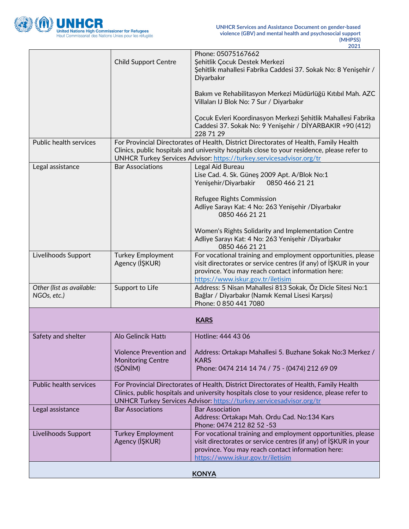

|                                          | <b>Child Support Centre</b>                                                                                                                                                                                                                                  | Phone: 05075167662<br>Şehitlik Çocuk Destek Merkezi<br>Şehitlik mahallesi Fabrika Caddesi 37. Sokak No: 8 Yenişehir /<br>Diyarbakır<br>Bakım ve Rehabilitasyon Merkezi Müdürlüğü Kıtıbıl Mah. AZC<br>Villaları IJ Blok No: 7 Sur / Diyarbakır<br>Çocuk Evleri Koordinasyon Merkezi Şehitlik Mahallesi Fabrika<br>Caddesi 37. Sokak No: 9 Yenişehir / DİYARBAKIR +90 (412) |
|------------------------------------------|--------------------------------------------------------------------------------------------------------------------------------------------------------------------------------------------------------------------------------------------------------------|---------------------------------------------------------------------------------------------------------------------------------------------------------------------------------------------------------------------------------------------------------------------------------------------------------------------------------------------------------------------------|
|                                          |                                                                                                                                                                                                                                                              | 228 71 29                                                                                                                                                                                                                                                                                                                                                                 |
| Public health services                   |                                                                                                                                                                                                                                                              | For Provincial Directorates of Health, District Directorates of Health, Family Health<br>Clinics, public hospitals and university hospitals close to your residence, please refer to<br>UNHCR Turkey Services Advisor: https://turkey.servicesadvisor.org/tr                                                                                                              |
| Legal assistance                         | <b>Bar Associations</b>                                                                                                                                                                                                                                      | Legal Aid Bureau<br>Lise Cad. 4. Sk. Güneş 2009 Apt. A/Blok No:1<br>Yenişehir/Diyarbakir<br>0850 466 21 21<br>Refugee Rights Commission                                                                                                                                                                                                                                   |
|                                          |                                                                                                                                                                                                                                                              | Adliye Sarayı Kat: 4 No: 263 Yenişehir / Diyarbakır<br>0850 466 21 21<br>Women's Rights Solidarity and Implementation Centre<br>Adliye Sarayı Kat: 4 No: 263 Yenişehir / Diyarbakır<br>0850 466 21 21                                                                                                                                                                     |
| Livelihoods Support                      | <b>Turkey Employment</b><br>Agency (IŞKUR)                                                                                                                                                                                                                   | For vocational training and employment opportunities, please<br>visit directorates or service centres (if any) of ISKUR in your<br>province. You may reach contact information here:<br>https://www.iskur.gov.tr/iletisim                                                                                                                                                 |
| Other (list as available:<br>NGOs, etc.) | Support to Life                                                                                                                                                                                                                                              | Address: 5 Nisan Mahallesi 813 Sokak, Öz Dicle Sitesi No:1<br>Bağlar / Diyarbakır (Namık Kemal Lisesi Karşısı)<br>Phone: 0 850 441 7080                                                                                                                                                                                                                                   |
|                                          |                                                                                                                                                                                                                                                              | <b>KARS</b>                                                                                                                                                                                                                                                                                                                                                               |
| Safety and shelter                       | Alo Gelincik Hattı                                                                                                                                                                                                                                           | Hotline: 444 43 06                                                                                                                                                                                                                                                                                                                                                        |
|                                          | <b>Violence Prevention and</b><br><b>Monitoring Centre</b><br>(ŞÖNİM)                                                                                                                                                                                        | Address: Ortakapı Mahallesi 5. Buzhane Sokak No:3 Merkez /<br><b>KARS</b><br>Phone: 0474 214 14 74 / 75 - (0474) 212 69 09                                                                                                                                                                                                                                                |
| Public health services                   | For Provincial Directorates of Health, District Directorates of Health, Family Health<br>Clinics, public hospitals and university hospitals close to your residence, please refer to<br>UNHCR Turkey Services Advisor: https://turkey.servicesadvisor.org/tr |                                                                                                                                                                                                                                                                                                                                                                           |
| Legal assistance                         | <b>Bar Associations</b>                                                                                                                                                                                                                                      | <b>Bar Association</b><br>Address: Ortakapı Mah. Ordu Cad. No:134 Kars<br>Phone: 0474 212 82 52 -53                                                                                                                                                                                                                                                                       |
| Livelihoods Support                      | <b>Turkey Employment</b><br>Agency (IŞKUR)                                                                                                                                                                                                                   | For vocational training and employment opportunities, please<br>visit directorates or service centres (if any) of ISKUR in your<br>province. You may reach contact information here:<br>https://www.iskur.gov.tr/iletisim                                                                                                                                                 |
| <b>KONYA</b>                             |                                                                                                                                                                                                                                                              |                                                                                                                                                                                                                                                                                                                                                                           |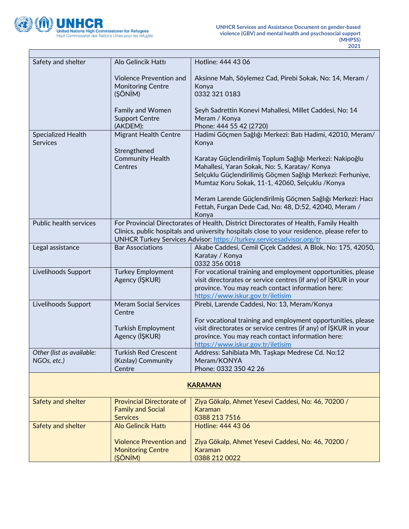

÷,

| Safety and shelter                           | Alo Gelincik Hattı                                                              | Hotline: 444 43 06                                                                                                                                                                                                                                           |
|----------------------------------------------|---------------------------------------------------------------------------------|--------------------------------------------------------------------------------------------------------------------------------------------------------------------------------------------------------------------------------------------------------------|
|                                              | <b>Violence Prevention and</b><br><b>Monitoring Centre</b><br>(ŞÖNİM)           | Aksinne Mah, Söylemez Cad, Pirebi Sokak, No: 14, Meram /<br>Konya<br>0332 321 0183                                                                                                                                                                           |
|                                              | <b>Family and Women</b><br><b>Support Centre</b><br>(AKDEM):                    | Şeyh Sadrettin Konevi Mahallesi, Millet Caddesi, No: 14<br>Meram / Konya<br>Phone: 444 55 42 (2720)                                                                                                                                                          |
| <b>Specialized Health</b><br><b>Services</b> | <b>Migrant Health Centre</b>                                                    | Hadimi Göçmen Sağlığı Merkezi: Batı Hadimi, 42010, Meram/<br>Konya                                                                                                                                                                                           |
|                                              | Strengthened<br><b>Community Health</b><br>Centres                              | Karatay Güçlendirilmiş Toplum Sağlığı Merkezi: Nakipoğlu<br>Mahallesi, Yaran Sokak, No: 5, Karatay/ Konya<br>Selçuklu Güçlendirilimiş Göçmen Sağlığı Merkezi: Ferhuniye,<br>Mumtaz Koru Sokak, 11-1, 42060, Selçuklu / Konya                                 |
|                                              |                                                                                 | Meram Larende Güçlendirilmiş Göçmen Sağlığı Merkezi: Hacı<br>Fettah, Furgan Dede Cad, No: 48, D:52, 42040, Meram /<br>Konya                                                                                                                                  |
| Public health services                       |                                                                                 | For Provincial Directorates of Health, District Directorates of Health, Family Health<br>Clinics, public hospitals and university hospitals close to your residence, please refer to<br>UNHCR Turkey Services Advisor: https://turkey.servicesadvisor.org/tr |
| Legal assistance                             | <b>Bar Associations</b>                                                         | Akabe Caddesi, Cemil Çiçek Caddesi, A Blok, No: 175, 42050,<br>Karatay / Konya<br>0332 356 0018                                                                                                                                                              |
| Livelihoods Support                          | <b>Turkey Employment</b><br>Agency (IŞKUR)                                      | For vocational training and employment opportunities, please<br>visit directorates or service centres (if any) of ISKUR in your<br>province. You may reach contact information here:<br>https://www.iskur.gov.tr/iletisim                                    |
| Livelihoods Support                          | <b>Meram Social Services</b><br>Centre                                          | Pirebi, Larende Caddesi, No: 13, Meram/Konya                                                                                                                                                                                                                 |
|                                              | <b>Turkish Employment</b><br>Agency (IŞKUR)                                     | For vocational training and employment opportunities, please<br>visit directorates or service centres (if any) of ISKUR in your<br>province. You may reach contact information here:<br>https://www.iskur.gov.tr/iletisim                                    |
| Other (list as available:<br>NGOs, etc.)     | <b>Turkish Red Crescent</b><br>(Kızılay) Community<br>Centre                    | Address: Sahibiata Mh. Taşkapı Medrese Cd. No:12<br>Meram/KONYA<br>Phone: 0332 350 42 26                                                                                                                                                                     |
|                                              |                                                                                 | <b>KARAMAN</b>                                                                                                                                                                                                                                               |
| Safety and shelter                           | <b>Provincial Directorate of</b><br><b>Family and Social</b><br><b>Services</b> | Ziya Gökalp, Ahmet Yesevi Caddesi, No: 46, 70200 /<br><b>Karaman</b><br>0388 213 7516                                                                                                                                                                        |
| Safety and shelter                           | <b>Alo Gelincik Hattı</b>                                                       | Hotline: 444 43 06                                                                                                                                                                                                                                           |
|                                              | <b>Violence Prevention and</b><br><b>Monitoring Centre</b><br>(ŞÖNİM)           | Ziya Gökalp, Ahmet Yesevi Caddesi, No: 46, 70200 /<br>Karaman<br>0388 212 0022                                                                                                                                                                               |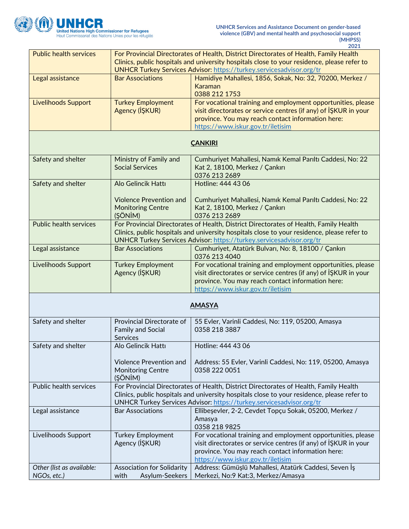

|                               |                                   | 2021                                                                                        |
|-------------------------------|-----------------------------------|---------------------------------------------------------------------------------------------|
| <b>Public health services</b> |                                   | For Provincial Directorates of Health, District Directorates of Health, Family Health       |
|                               |                                   | Clinics, public hospitals and university hospitals close to your residence, please refer to |
|                               |                                   | <b>UNHCR Turkey Services Advisor: https://turkey.servicesadvisor.org/tr</b>                 |
| Legal assistance              | <b>Bar Associations</b>           | Hamidiye Mahallesi, 1856, Sokak, No: 32, 70200, Merkez /                                    |
|                               |                                   | Karaman                                                                                     |
|                               |                                   | 0388 212 1753                                                                               |
| <b>Livelihoods Support</b>    | <b>Turkey Employment</b>          | For vocational training and employment opportunities, please                                |
|                               | Agency (IŞKUR)                    | visit directorates or service centres (if any) of ISKUR in your                             |
|                               |                                   |                                                                                             |
|                               |                                   | province. You may reach contact information here:                                           |
|                               |                                   | https://www.iskur.gov.tr/iletisim                                                           |
|                               |                                   |                                                                                             |
|                               |                                   | <b>CANKIRI</b>                                                                              |
|                               |                                   |                                                                                             |
| Safety and shelter            | Ministry of Family and            | Cumhuriyet Mahallesi, Namık Kemal Parıltı Caddesi, No: 22                                   |
|                               | <b>Social Services</b>            | Kat 2, 18100, Merkez / Çankırı                                                              |
|                               |                                   | 0376 213 2689                                                                               |
| Safety and shelter            | Alo Gelincik Hattı                | Hotline: 444 43 06                                                                          |
|                               |                                   |                                                                                             |
|                               | <b>Violence Prevention and</b>    | Cumhuriyet Mahallesi, Namık Kemal Parıltı Caddesi, No: 22                                   |
|                               | <b>Monitoring Centre</b>          | Kat 2, 18100, Merkez / Çankırı                                                              |
|                               | (ŞÖNİM)                           | 0376 213 2689                                                                               |
| <b>Public health services</b> |                                   | For Provincial Directorates of Health, District Directorates of Health, Family Health       |
|                               |                                   | Clinics, public hospitals and university hospitals close to your residence, please refer to |
|                               |                                   | UNHCR Turkey Services Advisor: https://turkey.servicesadvisor.org/tr                        |
| Legal assistance              | <b>Bar Associations</b>           | Cumhuriyet, Atatürk Bulvarı, No: 8, 18100 / Çankırı                                         |
|                               |                                   | 0376 213 4040                                                                               |
| Livelihoods Support           | <b>Turkey Employment</b>          | For vocational training and employment opportunities, please                                |
|                               | Agency (IŞKUR)                    | visit directorates or service centres (if any) of ISKUR in your                             |
|                               |                                   | province. You may reach contact information here:                                           |
|                               |                                   | https://www.iskur.gov.tr/iletisim                                                           |
|                               |                                   |                                                                                             |
|                               |                                   | <b>AMASYA</b>                                                                               |
|                               |                                   |                                                                                             |
|                               | Provincial Directorate of         |                                                                                             |
| Safety and shelter            |                                   | 55 Evler, Varinli Caddesi, No: 119, 05200, Amasya                                           |
|                               | <b>Family and Social</b>          | 0358 218 3887                                                                               |
|                               | <b>Services</b>                   |                                                                                             |
| Safety and shelter            | Alo Gelincik Hattı                | Hotline: 444 43 06                                                                          |
|                               |                                   |                                                                                             |
|                               | <b>Violence Prevention and</b>    | Address: 55 Evler, Varinli Caddesi, No: 119, 05200, Amasya                                  |
|                               | <b>Monitoring Centre</b>          | 0358 222 0051                                                                               |
|                               | (ŞÖNİM)                           |                                                                                             |
| Public health services        |                                   | For Provincial Directorates of Health, District Directorates of Health, Family Health       |
|                               |                                   | Clinics, public hospitals and university hospitals close to your residence, please refer to |
|                               |                                   | UNHCR Turkey Services Advisor: https://turkey.servicesadvisor.org/tr                        |
| Legal assistance              | <b>Bar Associations</b>           | Ellibeşevler, 2-2, Cevdet Topçu Sokak, 05200, Merkez /                                      |
|                               |                                   | Amasya                                                                                      |
|                               |                                   | 0358 218 9825                                                                               |
| Livelihoods Support           | <b>Turkey Employment</b>          | For vocational training and employment opportunities, please                                |
|                               | Agency (IŞKUR)                    | visit directorates or service centres (if any) of ISKUR in your                             |
|                               |                                   | province. You may reach contact information here:                                           |
|                               |                                   | https://www.iskur.gov.tr/iletisim                                                           |
| Other (list as available:     | <b>Association for Solidarity</b> | Address: Gümüşlü Mahallesi, Atatürk Caddesi, Seven İş                                       |
| NGOs, etc.)                   | with<br>Asylum-Seekers            | Merkezi, No:9 Kat:3, Merkez/Amasya                                                          |
|                               |                                   |                                                                                             |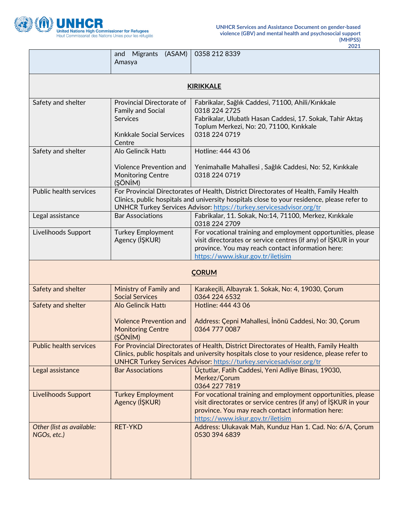

|                                          | and Migrants (ASAM)<br>Amasya                                                                                                                                                                                                                                       | 0358 212 8339                                                                                                                                                                                                             |  |  |
|------------------------------------------|---------------------------------------------------------------------------------------------------------------------------------------------------------------------------------------------------------------------------------------------------------------------|---------------------------------------------------------------------------------------------------------------------------------------------------------------------------------------------------------------------------|--|--|
| <b>KIRIKKALE</b>                         |                                                                                                                                                                                                                                                                     |                                                                                                                                                                                                                           |  |  |
| Safety and shelter                       | Provincial Directorate of<br><b>Family and Social</b><br><b>Services</b><br>Kırıkkale Social Services<br>Centre                                                                                                                                                     | Fabrikalar, Sağlık Caddesi, 71100, Ahili/Kırıkkale<br>0318 224 2725<br>Fabrikalar, Ulubatlı Hasan Caddesi, 17. Sokak, Tahir Aktaş<br>Toplum Merkezi, No: 20, 71100, Kırıkkale<br>0318 224 0719                            |  |  |
| Safety and shelter                       | Alo Gelincik Hattı<br>Violence Prevention and<br><b>Monitoring Centre</b><br>(ŞÖNİM)                                                                                                                                                                                | Hotline: 444 43 06<br>Yenimahalle Mahallesi, Sağlık Caddesi, No: 52, Kırıkkale<br>0318 224 0719                                                                                                                           |  |  |
| Public health services                   | For Provincial Directorates of Health, District Directorates of Health, Family Health<br>Clinics, public hospitals and university hospitals close to your residence, please refer to<br>UNHCR Turkey Services Advisor: https://turkey.servicesadvisor.org/tr        |                                                                                                                                                                                                                           |  |  |
| Legal assistance                         | <b>Bar Associations</b>                                                                                                                                                                                                                                             | Fabrikalar, 11. Sokak, No:14, 71100, Merkez, Kırıkkale<br>0318 224 2709                                                                                                                                                   |  |  |
| Livelihoods Support                      | <b>Turkey Employment</b><br>Agency (IŞKUR)                                                                                                                                                                                                                          | For vocational training and employment opportunities, please<br>visit directorates or service centres (if any) of ISKUR in your<br>province. You may reach contact information here:<br>https://www.iskur.gov.tr/iletisim |  |  |
| <b>CORUM</b>                             |                                                                                                                                                                                                                                                                     |                                                                                                                                                                                                                           |  |  |
| Safety and shelter                       | Ministry of Family and<br><b>Social Services</b>                                                                                                                                                                                                                    | Karakeçili, Albayrak 1. Sokak, No: 4, 19030, Çorum<br>0364 224 6532                                                                                                                                                       |  |  |
| Safety and shelter                       | Alo Gelincik Hattı<br><b>Violence Prevention and</b><br><b>Monitoring Centre</b><br>(ŞÖNİM)                                                                                                                                                                         | Hotline: 444 43 06<br>Address: Çepni Mahallesi, İnönü Caddesi, No: 30, Çorum<br>0364 777 0087                                                                                                                             |  |  |
| <b>Public health services</b>            | For Provincial Directorates of Health, District Directorates of Health, Family Health<br>Clinics, public hospitals and university hospitals close to your residence, please refer to<br><b>UNHCR Turkey Services Advisor: https://turkey.servicesadvisor.org/tr</b> |                                                                                                                                                                                                                           |  |  |
| Legal assistance                         | <b>Bar Associations</b>                                                                                                                                                                                                                                             | Üçtutlar, Fatih Caddesi, Yeni Adliye Binası, 19030,<br>Merkez/Corum<br>0364 227 7819                                                                                                                                      |  |  |
| <b>Livelihoods Support</b>               | <b>Turkey Employment</b><br>Agency (IŞKUR)                                                                                                                                                                                                                          | For vocational training and employment opportunities, please<br>visit directorates or service centres (if any) of ISKUR in your<br>province. You may reach contact information here:<br>https://www.iskur.gov.tr/iletisim |  |  |
| Other (list as available:<br>NGOs, etc.) | <b>RET-YKD</b>                                                                                                                                                                                                                                                      | Address: Ulukavak Mah, Kunduz Han 1. Cad. No: 6/A, Çorum<br>0530 394 6839                                                                                                                                                 |  |  |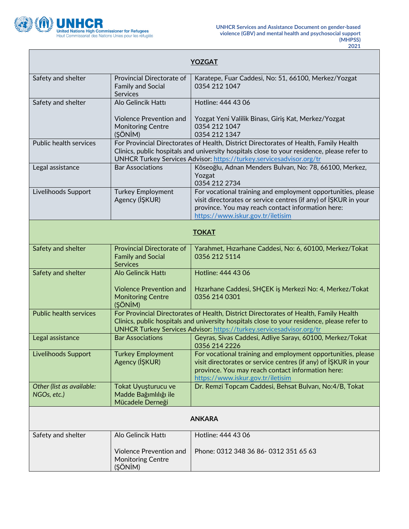

L

| <b>YOZGAT</b>                            |                                                                                                                                                                                                                                                              |                                                                                                                                                                                                                           |  |  |
|------------------------------------------|--------------------------------------------------------------------------------------------------------------------------------------------------------------------------------------------------------------------------------------------------------------|---------------------------------------------------------------------------------------------------------------------------------------------------------------------------------------------------------------------------|--|--|
| Safety and shelter                       | Provincial Directorate of<br><b>Family and Social</b><br><b>Services</b>                                                                                                                                                                                     | Karatepe, Fuar Caddesi, No: 51, 66100, Merkez/Yozgat<br>0354 212 1047                                                                                                                                                     |  |  |
| Safety and shelter                       | Alo Gelincik Hattı                                                                                                                                                                                                                                           | Hotline: 444 43 06                                                                                                                                                                                                        |  |  |
|                                          | <b>Violence Prevention and</b><br><b>Monitoring Centre</b><br>(ŞÖNİM)                                                                                                                                                                                        | Yozgat Yeni Valilik Binası, Giriş Kat, Merkez/Yozgat<br>0354 212 1047<br>0354 212 1347                                                                                                                                    |  |  |
| Public health services                   | For Provincial Directorates of Health, District Directorates of Health, Family Health<br>Clinics, public hospitals and university hospitals close to your residence, please refer to<br>UNHCR Turkey Services Advisor: https://turkey.servicesadvisor.org/tr |                                                                                                                                                                                                                           |  |  |
| Legal assistance                         | <b>Bar Associations</b>                                                                                                                                                                                                                                      | Köseoğlu, Adnan Menders Bulvarı, No: 78, 66100, Merkez,<br>Yozgat<br>0354 212 2734                                                                                                                                        |  |  |
| Livelihoods Support                      | <b>Turkey Employment</b><br>Agency (IŞKUR)                                                                                                                                                                                                                   | For vocational training and employment opportunities, please<br>visit directorates or service centres (if any) of ISKUR in your<br>province. You may reach contact information here:<br>https://www.iskur.gov.tr/iletisim |  |  |
| <b>TOKAT</b>                             |                                                                                                                                                                                                                                                              |                                                                                                                                                                                                                           |  |  |
| Safety and shelter                       | <b>Provincial Directorate of</b><br><b>Family and Social</b><br><b>Services</b>                                                                                                                                                                              | Yarahmet, Hızarhane Caddesi, No: 6, 60100, Merkez/Tokat<br>0356 212 5114                                                                                                                                                  |  |  |
| Safety and shelter                       | Alo Gelincik Hattı                                                                                                                                                                                                                                           | Hotline: 444 43 06                                                                                                                                                                                                        |  |  |
|                                          | <b>Violence Prevention and</b><br><b>Monitoring Centre</b><br>(ŞÖNİM)                                                                                                                                                                                        | Hızarhane Caddesi, SHÇEK iş Merkezi No: 4, Merkez/Tokat<br>0356 214 0301                                                                                                                                                  |  |  |
| <b>Public health services</b>            | For Provincial Directorates of Health, District Directorates of Health, Family Health<br>Clinics, public hospitals and university hospitals close to your residence, please refer to<br>UNHCR Turkey Services Advisor: https://turkey.servicesadvisor.org/tr |                                                                                                                                                                                                                           |  |  |
| Legal assistance                         | <b>Bar Associations</b>                                                                                                                                                                                                                                      | Geyras, Sivas Caddesi, Adliye Sarayı, 60100, Merkez/Tokat<br>0356 214 2226                                                                                                                                                |  |  |
| Livelihoods Support                      | <b>Turkey Employment</b><br>Agency (IŞKUR)                                                                                                                                                                                                                   | For vocational training and employment opportunities, please<br>visit directorates or service centres (if any) of ISKUR in your<br>province. You may reach contact information here:<br>https://www.iskur.gov.tr/iletisim |  |  |
| Other (list as available:<br>NGOs, etc.) | Tokat Uyuşturucu ve<br>Madde Bağımlılığı ile<br>Mücadele Derneği                                                                                                                                                                                             | Dr. Remzi Topcam Caddesi, Behsat Bulvarı, No:4/B, Tokat                                                                                                                                                                   |  |  |
| <b>ANKARA</b>                            |                                                                                                                                                                                                                                                              |                                                                                                                                                                                                                           |  |  |
| Safety and shelter                       | Alo Gelincik Hattı                                                                                                                                                                                                                                           | Hotline: 444 43 06                                                                                                                                                                                                        |  |  |
|                                          | <b>Violence Prevention and</b><br><b>Monitoring Centre</b><br>(ŞÖNİM)                                                                                                                                                                                        | Phone: 0312 348 36 86-0312 351 65 63                                                                                                                                                                                      |  |  |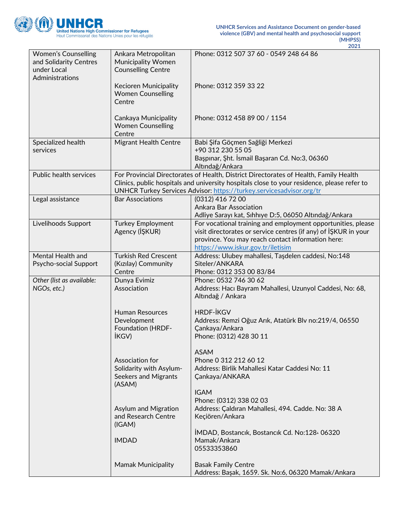

| <b>Women's Counselling</b><br>and Solidarity Centres<br>under Local<br>Administrations | Ankara Metropolitan<br><b>Municipality Women</b><br><b>Counselling Centre</b>      | Phone: 0312 507 37 60 - 0549 248 64 86                                                                                                                                                                                                                       |
|----------------------------------------------------------------------------------------|------------------------------------------------------------------------------------|--------------------------------------------------------------------------------------------------------------------------------------------------------------------------------------------------------------------------------------------------------------|
|                                                                                        | Kecioren Municipality<br><b>Women Counselling</b><br>Centre                        | Phone: 0312 359 33 22                                                                                                                                                                                                                                        |
|                                                                                        | Cankaya Municipality<br><b>Women Counselling</b><br>Centre                         | Phone: 0312 458 89 00 / 1154                                                                                                                                                                                                                                 |
| Specialized health<br>services                                                         | <b>Migrant Health Centre</b>                                                       | Babi Şifa Göçmen Sağliği Merkezi<br>+90 312 230 55 05<br>Başpınar, Şht. İsmail Başaran Cd. No:3, 06360<br>Altındağ/Ankara                                                                                                                                    |
| Public health services                                                                 |                                                                                    | For Provincial Directorates of Health, District Directorates of Health, Family Health<br>Clinics, public hospitals and university hospitals close to your residence, please refer to<br>UNHCR Turkey Services Advisor: https://turkey.servicesadvisor.org/tr |
| Legal assistance                                                                       | <b>Bar Associations</b>                                                            | (0312) 416 72 00<br><b>Ankara Bar Association</b><br>Adliye Sarayı kat, Sıhhıye D:5, 06050 Altındağ/Ankara                                                                                                                                                   |
| Livelihoods Support                                                                    | <b>Turkey Employment</b><br>Agency (IŞKUR)                                         | For vocational training and employment opportunities, please<br>visit directorates or service centres (if any) of ISKUR in your<br>province. You may reach contact information here:<br>https://www.iskur.gov.tr/iletisim                                    |
| Mental Health and<br>Psycho-social Support                                             | <b>Turkish Red Crescent</b><br>(Kızılay) Community<br>Centre                       | Address: Ulubey mahallesi, Taşdelen caddesi, No:148<br>Siteler/ANKARA<br>Phone: 0312 353 00 83/84                                                                                                                                                            |
| Other (list as available:<br>NGOs, etc.)                                               | Dunya Evimiz<br>Association                                                        | Phone: 0532 746 30 62<br>Address: Hacı Bayram Mahallesi, Uzunyol Caddesi, No: 68,<br>Altındağ / Ankara                                                                                                                                                       |
|                                                                                        | <b>Human Resources</b><br>Development<br><b>Foundation (HRDF-</b><br><b>İKGV</b> ) | <b>HRDF-İKGV</b><br>Address: Remzi Oğuz Arık, Atatürk Blv no:219/4, 06550<br>Çankaya/Ankara<br>Phone: (0312) 428 30 11                                                                                                                                       |
|                                                                                        | Association for<br>Solidarity with Asylum-<br>Seekers and Migrants<br>(ASAM)       | <b>ASAM</b><br>Phone 0 312 212 60 12<br>Address: Birlik Mahallesi Katar Caddesi No: 11<br>Çankaya/ANKARA                                                                                                                                                     |
|                                                                                        | Asylum and Migration<br>and Research Centre<br>(IGAM)                              | <b>IGAM</b><br>Phone: (0312) 338 02 03<br>Address: Çaldıran Mahallesi, 494. Cadde. No: 38 A<br>Keçiören/Ankara                                                                                                                                               |
|                                                                                        | <b>IMDAD</b>                                                                       | IMDAD, Bostancik, Bostancik Cd. No:128 06320<br>Mamak/Ankara<br>05533353860                                                                                                                                                                                  |
|                                                                                        | <b>Mamak Municipality</b>                                                          | <b>Basak Family Centre</b><br>Address: Başak, 1659. Sk. No:6, 06320 Mamak/Ankara                                                                                                                                                                             |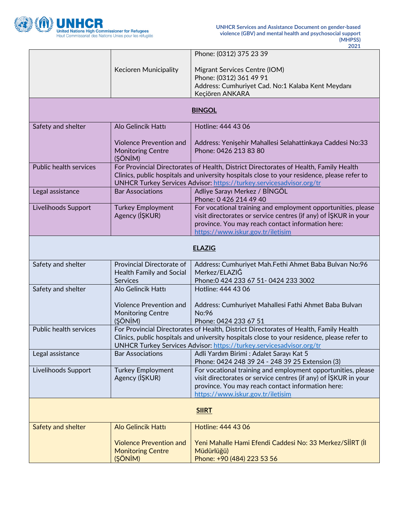

|                        | Kecioren Municipality                                                                                                                                                                                                                                        | Phone: (0312) 375 23 39<br>Migrant Services Centre (IOM)<br>Phone: (0312) 361 49 91<br>Address: Cumhuriyet Cad. No:1 Kalaba Kent Meydanı<br>Keçiören ANKARA                                                               |
|------------------------|--------------------------------------------------------------------------------------------------------------------------------------------------------------------------------------------------------------------------------------------------------------|---------------------------------------------------------------------------------------------------------------------------------------------------------------------------------------------------------------------------|
| <b>BINGOL</b>          |                                                                                                                                                                                                                                                              |                                                                                                                                                                                                                           |
| Safety and shelter     | Alo Gelincik Hattı                                                                                                                                                                                                                                           | Hotline: 444 43 06                                                                                                                                                                                                        |
|                        | <b>Violence Prevention and</b><br><b>Monitoring Centre</b><br>(ŞÖNİM)                                                                                                                                                                                        | Address: Yenişehir Mahallesi Selahattinkaya Caddesi No:33<br>Phone: 0426 213 83 80                                                                                                                                        |
| Public health services | For Provincial Directorates of Health, District Directorates of Health, Family Health<br>Clinics, public hospitals and university hospitals close to your residence, please refer to<br>UNHCR Turkey Services Advisor: https://turkey.servicesadvisor.org/tr |                                                                                                                                                                                                                           |
| Legal assistance       | <b>Bar Associations</b>                                                                                                                                                                                                                                      | Adliye Sarayı Merkez / BİNGÖL<br>Phone: 0 426 214 49 40                                                                                                                                                                   |
| Livelihoods Support    | <b>Turkey Employment</b><br>Agency (IŞKUR)                                                                                                                                                                                                                   | For vocational training and employment opportunities, please<br>visit directorates or service centres (if any) of IŞKUR in your<br>province. You may reach contact information here:<br>https://www.iskur.gov.tr/iletisim |
| <b>ELAZIG</b>          |                                                                                                                                                                                                                                                              |                                                                                                                                                                                                                           |
| Safety and shelter     | Provincial Directorate of<br><b>Health Family and Social</b><br>Services                                                                                                                                                                                     | Address: Cumhuriyet Mah.Fethi Ahmet Baba Bulvarı No:96<br>Merkez/ELAZIĞ<br>Phone: 0 424 233 67 51 - 0424 233 3002                                                                                                         |
| Safety and shelter     | Alo Gelincik Hattı                                                                                                                                                                                                                                           | Hotline: 444 43 06                                                                                                                                                                                                        |
|                        | <b>Violence Prevention and</b><br><b>Monitoring Centre</b><br>(ŞÖNİM)                                                                                                                                                                                        | Address: Cumhuriyet Mahallesi Fathi Ahmet Baba Bulvarı<br>No:96<br>Phone: 0424 233 67 51                                                                                                                                  |
| Public health services | For Provincial Directorates of Health, District Directorates of Health, Family Health<br>Clinics, public hospitals and university hospitals close to your residence, please refer to<br>UNHCR Turkey Services Advisor: https://turkey.servicesadvisor.org/tr |                                                                                                                                                                                                                           |
| Legal assistance       | <b>Bar Associations</b>                                                                                                                                                                                                                                      | Adli Yardım Birimi : Adalet Sarayı Kat 5<br>Phone: 0424 248 39 24 - 248 39 25 Extension (3)                                                                                                                               |
| Livelihoods Support    | <b>Turkey Employment</b><br>Agency (IŞKUR)                                                                                                                                                                                                                   | For vocational training and employment opportunities, please<br>visit directorates or service centres (if any) of IŞKUR in your<br>province. You may reach contact information here:<br>https://www.iskur.gov.tr/iletisim |
| <b>SIIRT</b>           |                                                                                                                                                                                                                                                              |                                                                                                                                                                                                                           |
| Safety and shelter     | <b>Alo Gelincik Hattı</b>                                                                                                                                                                                                                                    | Hotline: 444 43 06                                                                                                                                                                                                        |
|                        | <b>Violence Prevention and</b><br><b>Monitoring Centre</b><br>(ŞÖNİM)                                                                                                                                                                                        | Yeni Mahalle Hami Efendi Caddesi No: 33 Merkez/SİİRT (İl<br>Müdürlüğü)<br>Phone: +90 (484) 223 53 56                                                                                                                      |
|                        |                                                                                                                                                                                                                                                              |                                                                                                                                                                                                                           |